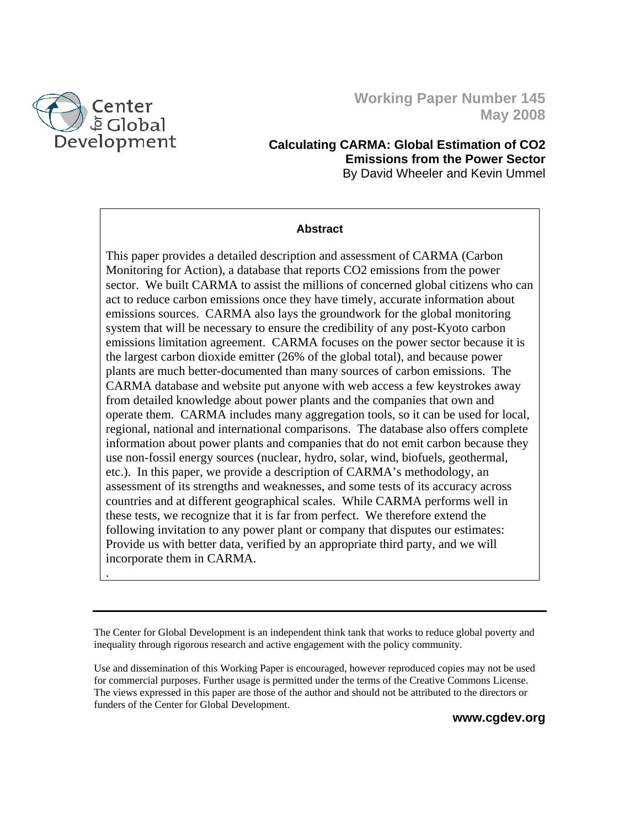

.

## **Working Paper Number 145 May 2008**

## **Calculating CARMA: Global Estimation of CO2 Emissions from the Power Sector**  By David Wheeler and Kevin Ummel

#### **Abstract**

This paper provides a detailed description and assessment of CARMA (Carbon Monitoring for Action), a database that reports CO2 emissions from the power sector. We built CARMA to assist the millions of concerned global citizens who can act to reduce carbon emissions once they have timely, accurate information about emissions sources. CARMA also lays the groundwork for the global monitoring system that will be necessary to ensure the credibility of any post-Kyoto carbon emissions limitation agreement. CARMA focuses on the power sector because it is the largest carbon dioxide emitter (26% of the global total), and because power plants are much better-documented than many sources of carbon emissions. The CARMA database and website put anyone with web access a few keystrokes away from detailed knowledge about power plants and the companies that own and operate them. CARMA includes many aggregation tools, so it can be used for local, regional, national and international comparisons. The database also offers complete information about power plants and companies that do not emit carbon because they use non-fossil energy sources (nuclear, hydro, solar, wind, biofuels, geothermal, etc.). In this paper, we provide a description of CARMA's methodology, an assessment of its strengths and weaknesses, and some tests of its accuracy across countries and at different geographical scales. While CARMA performs well in these tests, we recognize that it is far from perfect. We therefore extend the following invitation to any power plant or company that disputes our estimates: Provide us with better data, verified by an appropriate third party, and we will incorporate them in CARMA.

The Center for Global Development is an independent think tank that works to reduce global poverty and inequality through rigorous research and active engagement with the policy community.

Use and dissemination of this Working Paper is encouraged, however reproduced copies may not be used for commercial purposes. Further usage is permitted under the terms of the Creative Commons License. The views expressed in this paper are those of the author and should not be attributed to the directors or funders of the Center for Global Development.

**www.cgdev.org**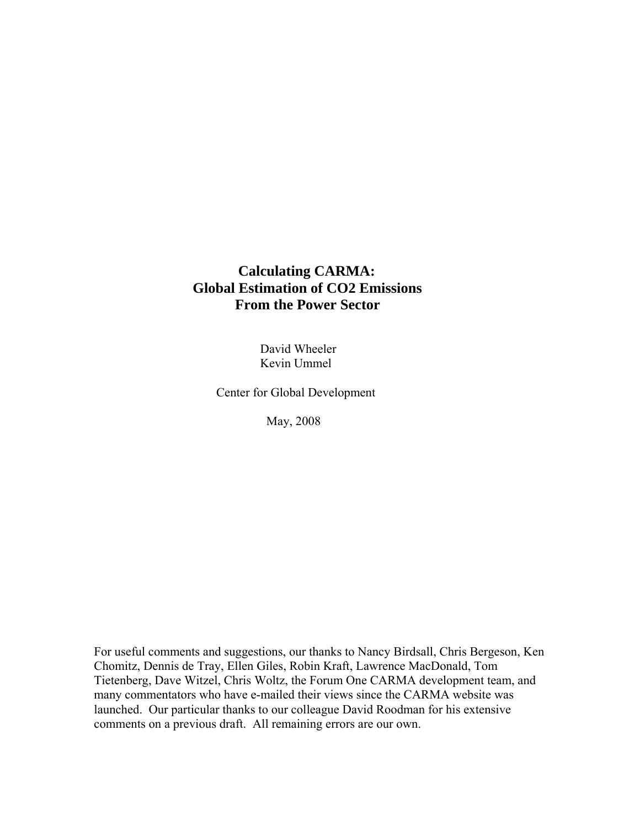## **Calculating CARMA: Global Estimation of CO2 Emissions From the Power Sector**

 David Wheeler Kevin Ummel

Center for Global Development

May, 2008

For useful comments and suggestions, our thanks to Nancy Birdsall, Chris Bergeson, Ken Chomitz, Dennis de Tray, Ellen Giles, Robin Kraft, Lawrence MacDonald, Tom Tietenberg, Dave Witzel, Chris Woltz, the Forum One CARMA development team, and many commentators who have e-mailed their views since the CARMA website was launched. Our particular thanks to our colleague David Roodman for his extensive comments on a previous draft. All remaining errors are our own.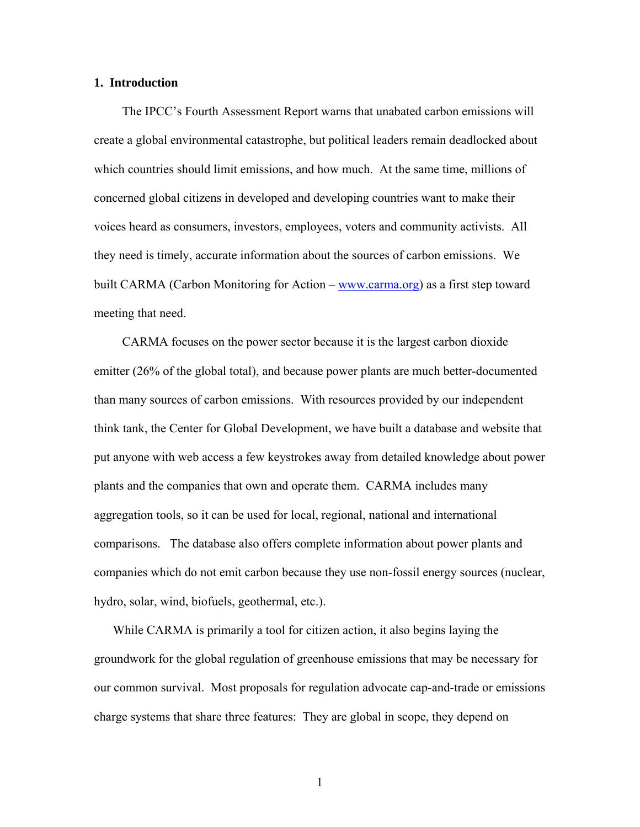#### **1. Introduction**

The IPCC's Fourth Assessment Report warns that unabated carbon emissions will create a global environmental catastrophe, but political leaders remain deadlocked about which countries should limit emissions, and how much. At the same time, millions of concerned global citizens in developed and developing countries want to make their voices heard as consumers, investors, employees, voters and community activists. All they need is timely, accurate information about the sources of carbon emissions. We built CARMA (Carbon Monitoring for Action – www.carma.org) as a first step toward meeting that need.

CARMA focuses on the power sector because it is the largest carbon dioxide emitter (26% of the global total), and because power plants are much better-documented than many sources of carbon emissions. With resources provided by our independent think tank, the Center for Global Development, we have built a database and website that put anyone with web access a few keystrokes away from detailed knowledge about power plants and the companies that own and operate them. CARMA includes many aggregation tools, so it can be used for local, regional, national and international comparisons. The database also offers complete information about power plants and companies which do not emit carbon because they use non-fossil energy sources (nuclear, hydro, solar, wind, biofuels, geothermal, etc.).

While CARMA is primarily a tool for citizen action, it also begins laying the groundwork for the global regulation of greenhouse emissions that may be necessary for our common survival. Most proposals for regulation advocate cap-and-trade or emissions charge systems that share three features: They are global in scope, they depend on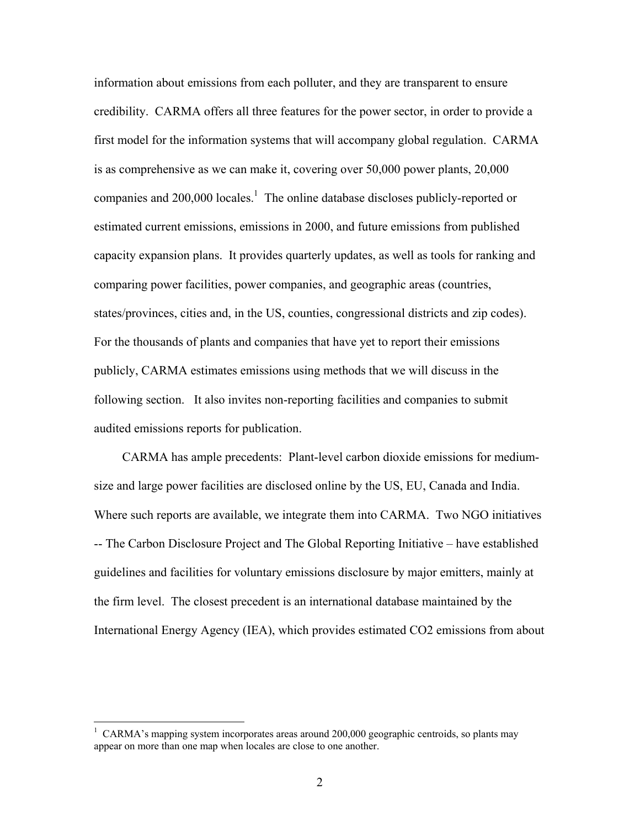information about emissions from each polluter, and they are transparent to ensure credibility. CARMA offers all three features for the power sector, in order to provide a first model for the information systems that will accompany global regulation. CARMA is as comprehensive as we can make it, covering over 50,000 power plants, 20,000 companies and  $200,000$  locales.<sup>1</sup> The online database discloses publicly-reported or estimated current emissions, emissions in 2000, and future emissions from published capacity expansion plans. It provides quarterly updates, as well as tools for ranking and comparing power facilities, power companies, and geographic areas (countries, states/provinces, cities and, in the US, counties, congressional districts and zip codes). For the thousands of plants and companies that have yet to report their emissions publicly, CARMA estimates emissions using methods that we will discuss in the following section. It also invites non-reporting facilities and companies to submit audited emissions reports for publication.

CARMA has ample precedents: Plant-level carbon dioxide emissions for mediumsize and large power facilities are disclosed online by the US, EU, Canada and India. Where such reports are available, we integrate them into CARMA. Two NGO initiatives -- The Carbon Disclosure Project and The Global Reporting Initiative – have established guidelines and facilities for voluntary emissions disclosure by major emitters, mainly at the firm level. The closest precedent is an international database maintained by the International Energy Agency (IEA), which provides estimated CO2 emissions from about

<sup>&</sup>lt;sup>1</sup> CARMA's mapping system incorporates areas around 200,000 geographic centroids, so plants may appear on more than one map when locales are close to one another.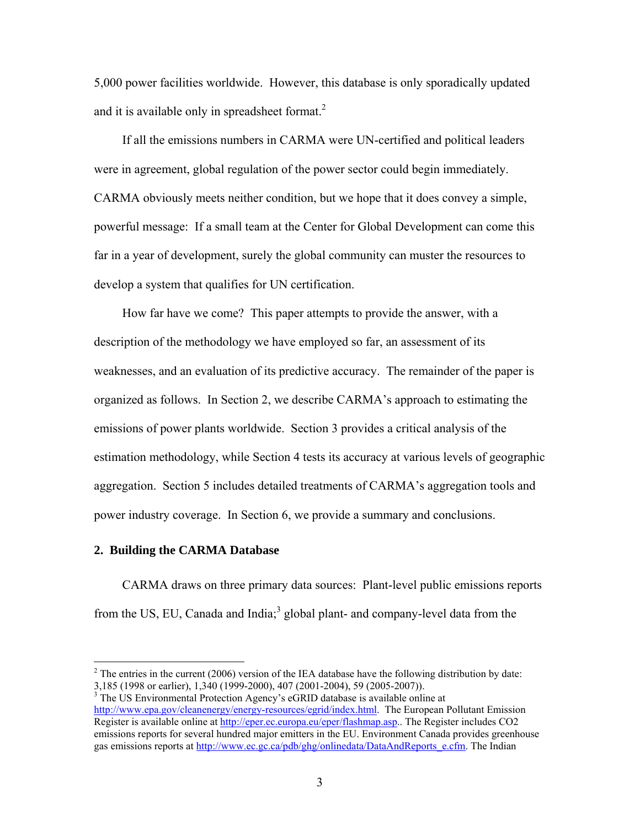5,000 power facilities worldwide. However, this database is only sporadically updated and it is available only in spreadsheet format. $^{2}$ 

If all the emissions numbers in CARMA were UN-certified and political leaders were in agreement, global regulation of the power sector could begin immediately. CARMA obviously meets neither condition, but we hope that it does convey a simple, powerful message: If a small team at the Center for Global Development can come this far in a year of development, surely the global community can muster the resources to develop a system that qualifies for UN certification.

How far have we come? This paper attempts to provide the answer, with a description of the methodology we have employed so far, an assessment of its weaknesses, and an evaluation of its predictive accuracy. The remainder of the paper is organized as follows. In Section 2, we describe CARMA's approach to estimating the emissions of power plants worldwide. Section 3 provides a critical analysis of the estimation methodology, while Section 4 tests its accuracy at various levels of geographic aggregation. Section 5 includes detailed treatments of CARMA's aggregation tools and power industry coverage. In Section 6, we provide a summary and conclusions.

### **2. Building the CARMA Database**

<u>.</u>

CARMA draws on three primary data sources: Plant-level public emissions reports from the US, EU, Canada and India;<sup>3</sup> global plant- and company-level data from the

<sup>&</sup>lt;sup>2</sup> The entries in the current (2006) version of the IEA database have the following distribution by date: 3,185 (1998 or earlier), 1,340 (1999-2000), 407 (2001-2004), 59 (2005-2007)).

<sup>&</sup>lt;sup>3</sup> The US Environmental Protection Agency's eGRID database is available online at http://www.epa.gov/cleanenergy/energy-resources/egrid/index.html. The European Pollutant Emission Register is available online at http://eper.ec.europa.eu/eper/flashmap.asp.. The Register includes CO2 emissions reports for several hundred major emitters in the EU. Environment Canada provides greenhouse gas emissions reports at http://www.ec.gc.ca/pdb/ghg/onlinedata/DataAndReports e.cfm. The Indian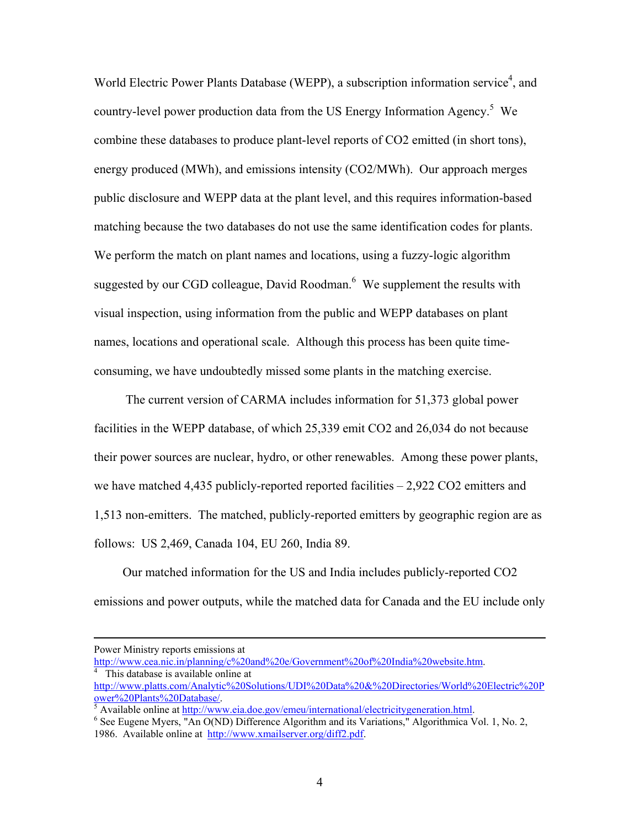World Electric Power Plants Database (WEPP), a subscription information service<sup>4</sup>, and country-level power production data from the US Energy Information Agency.<sup>5</sup> We combine these databases to produce plant-level reports of CO2 emitted (in short tons), energy produced (MWh), and emissions intensity (CO2/MWh). Our approach merges public disclosure and WEPP data at the plant level, and this requires information-based matching because the two databases do not use the same identification codes for plants. We perform the match on plant names and locations, using a fuzzy-logic algorithm suggested by our CGD colleague, David Roodman. $6$  We supplement the results with visual inspection, using information from the public and WEPP databases on plant names, locations and operational scale. Although this process has been quite timeconsuming, we have undoubtedly missed some plants in the matching exercise.

 The current version of CARMA includes information for 51,373 global power facilities in the WEPP database, of which 25,339 emit CO2 and 26,034 do not because their power sources are nuclear, hydro, or other renewables. Among these power plants, we have matched 4,435 publicly-reported reported facilities  $-2.922$  CO2 emitters and 1,513 non-emitters. The matched, publicly-reported emitters by geographic region are as follows: US 2,469, Canada 104, EU 260, India 89.

Our matched information for the US and India includes publicly-reported CO2 emissions and power outputs, while the matched data for Canada and the EU include only

Power Ministry reports emissions at

http://www.cea.nic.in/planning/c%20and%20e/Government%20of%20India%20website.htm. This database is available online at

http://www.platts.com/Analytic%20Solutions/UDI%20Data%20&%20Directories/World%20Electric%20P ower%20Plants%20Database/. 5

 $\frac{1}{6}$  Available online at http://www.eia.doe.gov/emeu/international/electricitygeneration.html.

 $6$  See Eugene Myers,  $\overline{Y}$ An O(ND) Difference Algorithm and its Variations," Algorithmica Vol. 1, No. 2,

<sup>1986.</sup> Available online at http://www.xmailserver.org/diff2.pdf.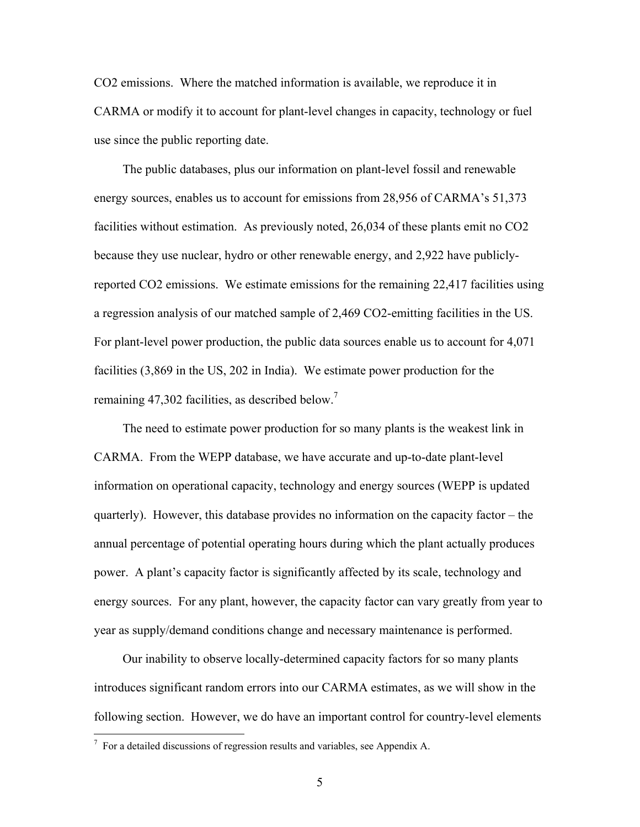CO2 emissions. Where the matched information is available, we reproduce it in CARMA or modify it to account for plant-level changes in capacity, technology or fuel use since the public reporting date.

The public databases, plus our information on plant-level fossil and renewable energy sources, enables us to account for emissions from 28,956 of CARMA's 51,373 facilities without estimation. As previously noted, 26,034 of these plants emit no CO2 because they use nuclear, hydro or other renewable energy, and 2,922 have publiclyreported CO2 emissions. We estimate emissions for the remaining 22,417 facilities using a regression analysis of our matched sample of 2,469 CO2-emitting facilities in the US. For plant-level power production, the public data sources enable us to account for 4,071 facilities (3,869 in the US, 202 in India). We estimate power production for the remaining 47,302 facilities, as described below.<sup>7</sup>

The need to estimate power production for so many plants is the weakest link in CARMA. From the WEPP database, we have accurate and up-to-date plant-level information on operational capacity, technology and energy sources (WEPP is updated quarterly). However, this database provides no information on the capacity factor – the annual percentage of potential operating hours during which the plant actually produces power. A plant's capacity factor is significantly affected by its scale, technology and energy sources. For any plant, however, the capacity factor can vary greatly from year to year as supply/demand conditions change and necessary maintenance is performed.

Our inability to observe locally-determined capacity factors for so many plants introduces significant random errors into our CARMA estimates, as we will show in the following section. However, we do have an important control for country-level elements

 $7$  For a detailed discussions of regression results and variables, see Appendix A.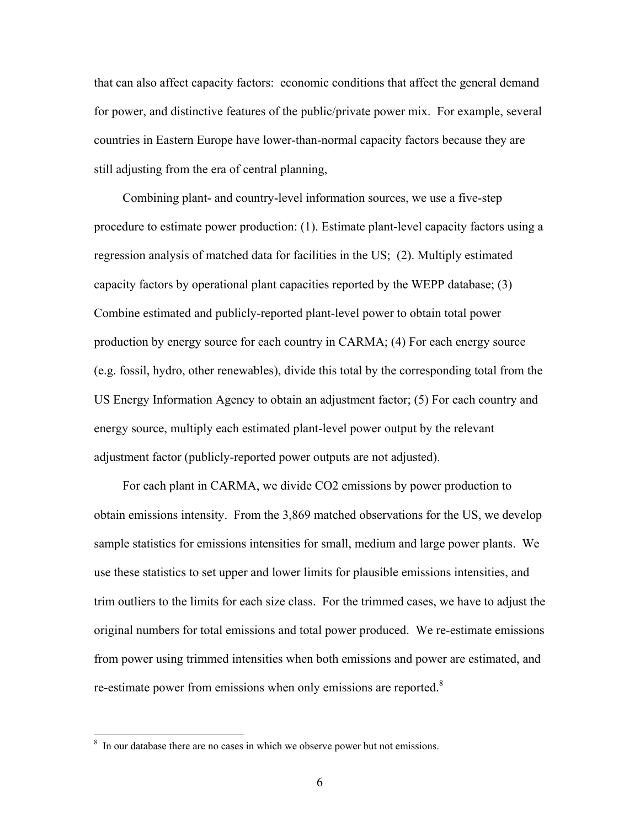that can also affect capacity factors: economic conditions that affect the general demand for power, and distinctive features of the public/private power mix. For example, several countries in Eastern Europe have lower-than-normal capacity factors because they are still adjusting from the era of central planning,

Combining plant- and country-level information sources, we use a five-step procedure to estimate power production: (1). Estimate plant-level capacity factors using a regression analysis of matched data for facilities in the US; (2). Multiply estimated capacity factors by operational plant capacities reported by the WEPP database; (3) Combine estimated and publicly-reported plant-level power to obtain total power production by energy source for each country in CARMA; (4) For each energy source (e.g. fossil, hydro, other renewables), divide this total by the corresponding total from the US Energy Information Agency to obtain an adjustment factor; (5) For each country and energy source, multiply each estimated plant-level power output by the relevant adjustment factor (publicly-reported power outputs are not adjusted).

For each plant in CARMA, we divide CO2 emissions by power production to obtain emissions intensity. From the 3,869 matched observations for the US, we develop sample statistics for emissions intensities for small, medium and large power plants. We use these statistics to set upper and lower limits for plausible emissions intensities, and trim outliers to the limits for each size class. For the trimmed cases, we have to adjust the original numbers for total emissions and total power produced. We re-estimate emissions from power using trimmed intensities when both emissions and power are estimated, and re-estimate power from emissions when only emissions are reported.<sup>8</sup>

<sup>&</sup>lt;sup>8</sup> In our database there are no cases in which we observe power but not emissions.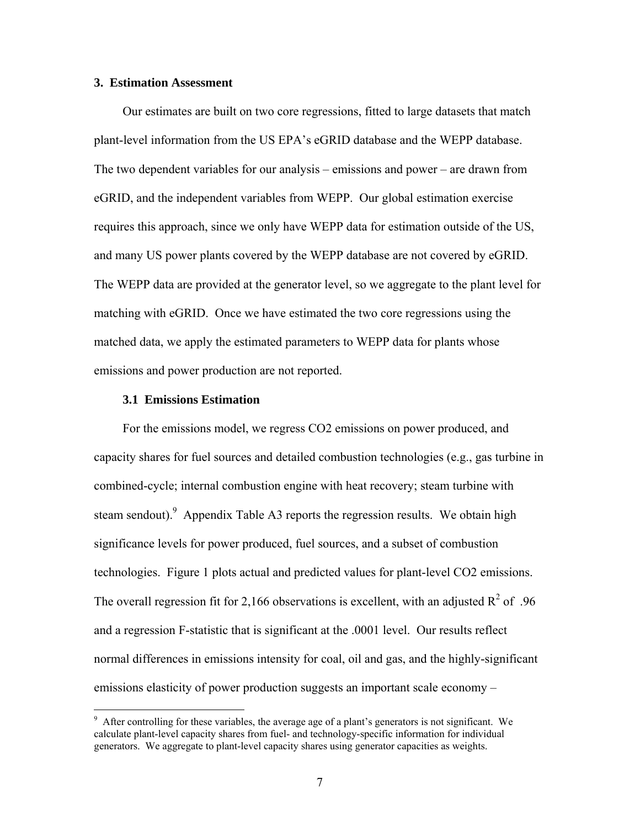#### **3. Estimation Assessment**

Our estimates are built on two core regressions, fitted to large datasets that match plant-level information from the US EPA's eGRID database and the WEPP database. The two dependent variables for our analysis – emissions and power – are drawn from eGRID, and the independent variables from WEPP. Our global estimation exercise requires this approach, since we only have WEPP data for estimation outside of the US, and many US power plants covered by the WEPP database are not covered by eGRID. The WEPP data are provided at the generator level, so we aggregate to the plant level for matching with eGRID. Once we have estimated the two core regressions using the matched data, we apply the estimated parameters to WEPP data for plants whose emissions and power production are not reported.

#### **3.1 Emissions Estimation**

1

For the emissions model, we regress CO2 emissions on power produced, and capacity shares for fuel sources and detailed combustion technologies (e.g., gas turbine in combined-cycle; internal combustion engine with heat recovery; steam turbine with steam sendout). Appendix Table A3 reports the regression results. We obtain high significance levels for power produced, fuel sources, and a subset of combustion technologies. Figure 1 plots actual and predicted values for plant-level CO2 emissions. The overall regression fit for 2,166 observations is excellent, with an adjusted  $R^2$  of .96 and a regression F-statistic that is significant at the .0001 level. Our results reflect normal differences in emissions intensity for coal, oil and gas, and the highly-significant emissions elasticity of power production suggests an important scale economy –

 $9$  After controlling for these variables, the average age of a plant's generators is not significant. We calculate plant-level capacity shares from fuel- and technology-specific information for individual generators. We aggregate to plant-level capacity shares using generator capacities as weights.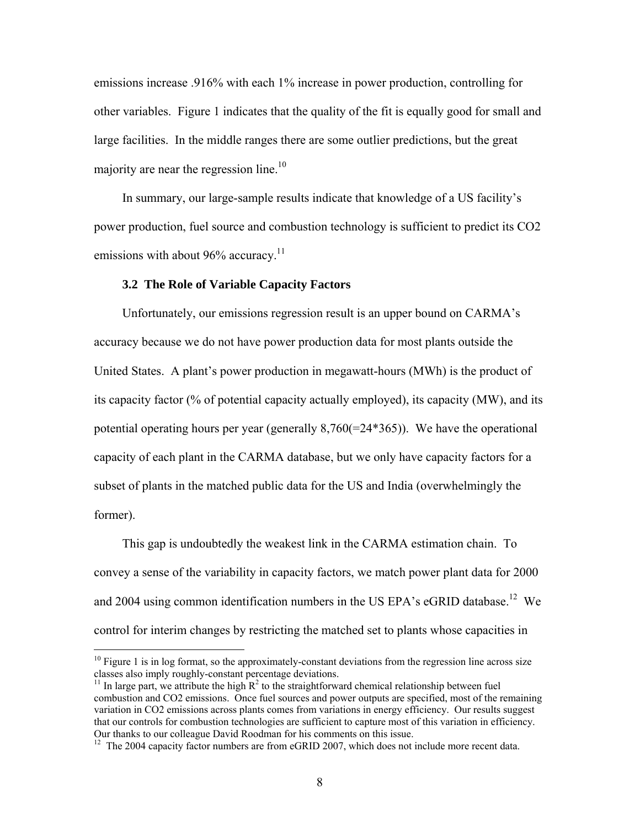emissions increase .916% with each 1% increase in power production, controlling for other variables. Figure 1 indicates that the quality of the fit is equally good for small and large facilities. In the middle ranges there are some outlier predictions, but the great majority are near the regression line.<sup>10</sup>

In summary, our large-sample results indicate that knowledge of a US facility's power production, fuel source and combustion technology is sufficient to predict its CO2 emissions with about 96% accuracy.<sup>11</sup>

## **3.2 The Role of Variable Capacity Factors**

1

Unfortunately, our emissions regression result is an upper bound on CARMA's accuracy because we do not have power production data for most plants outside the United States. A plant's power production in megawatt-hours (MWh) is the product of its capacity factor (% of potential capacity actually employed), its capacity (MW), and its potential operating hours per year (generally 8,760(=24\*365)). We have the operational capacity of each plant in the CARMA database, but we only have capacity factors for a subset of plants in the matched public data for the US and India (overwhelmingly the former).

This gap is undoubtedly the weakest link in the CARMA estimation chain. To convey a sense of the variability in capacity factors, we match power plant data for 2000 and 2004 using common identification numbers in the US EPA's eGRID database.<sup>12</sup> We control for interim changes by restricting the matched set to plants whose capacities in

 $10$  Figure 1 is in log format, so the approximately-constant deviations from the regression line across size classes also imply roughly-constant percentage deviations.

<sup>&</sup>lt;sup>11</sup> In large part, we attribute the high  $R^2$  to the straightforward chemical relationship between fuel combustion and CO2 emissions. Once fuel sources and power outputs are specified, most of the remaining variation in CO2 emissions across plants comes from variations in energy efficiency. Our results suggest that our controls for combustion technologies are sufficient to capture most of this variation in efficiency. Our thanks to our colleague David Roodman for his comments on this issue.

 $12$  The 2004 capacity factor numbers are from eGRID 2007, which does not include more recent data.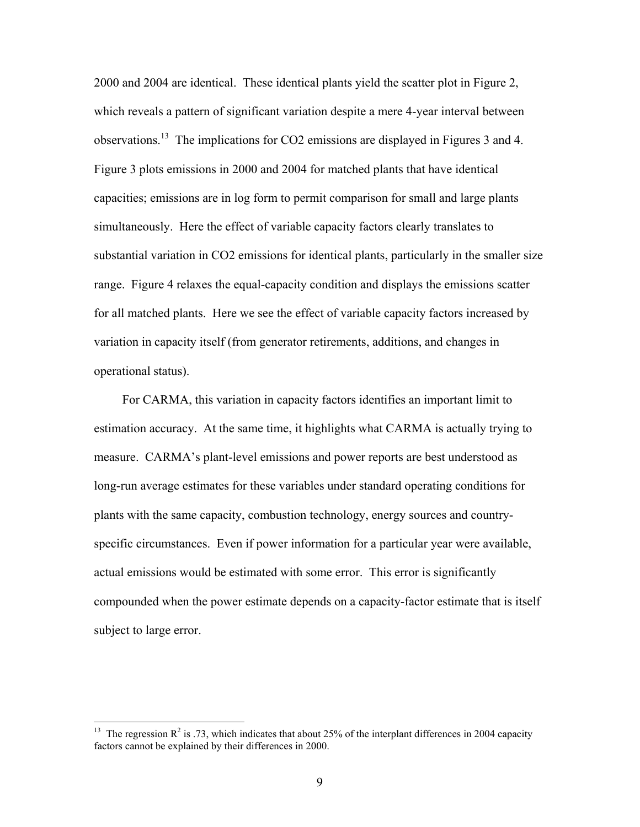2000 and 2004 are identical. These identical plants yield the scatter plot in Figure 2, which reveals a pattern of significant variation despite a mere 4-year interval between observations.<sup>13</sup> The implications for CO2 emissions are displayed in Figures 3 and 4. Figure 3 plots emissions in 2000 and 2004 for matched plants that have identical capacities; emissions are in log form to permit comparison for small and large plants simultaneously. Here the effect of variable capacity factors clearly translates to substantial variation in CO2 emissions for identical plants, particularly in the smaller size range. Figure 4 relaxes the equal-capacity condition and displays the emissions scatter for all matched plants. Here we see the effect of variable capacity factors increased by variation in capacity itself (from generator retirements, additions, and changes in operational status).

For CARMA, this variation in capacity factors identifies an important limit to estimation accuracy. At the same time, it highlights what CARMA is actually trying to measure. CARMA's plant-level emissions and power reports are best understood as long-run average estimates for these variables under standard operating conditions for plants with the same capacity, combustion technology, energy sources and countryspecific circumstances. Even if power information for a particular year were available, actual emissions would be estimated with some error. This error is significantly compounded when the power estimate depends on a capacity-factor estimate that is itself subject to large error.

<sup>&</sup>lt;sup>13</sup> The regression  $\mathbb{R}^2$  is .73, which indicates that about 25% of the interplant differences in 2004 capacity factors cannot be explained by their differences in 2000.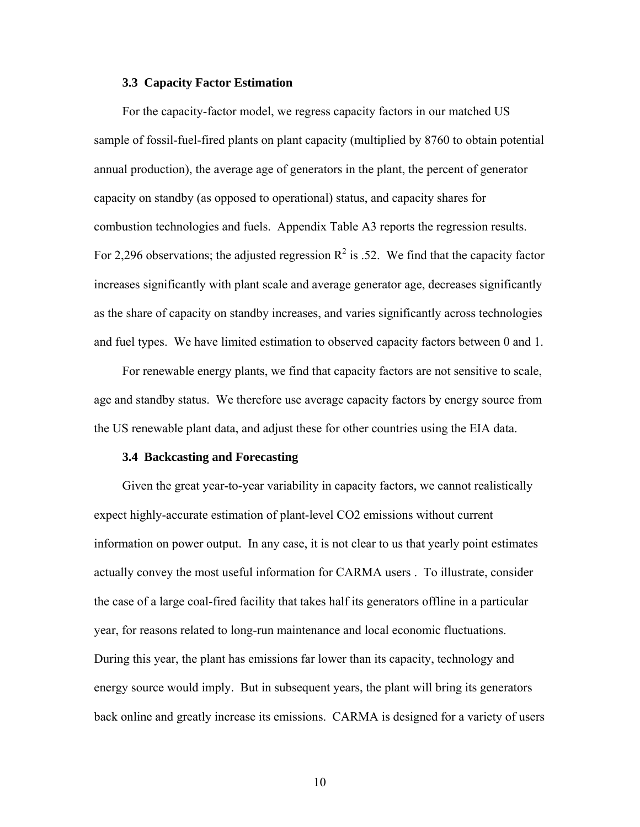#### **3.3 Capacity Factor Estimation**

For the capacity-factor model, we regress capacity factors in our matched US sample of fossil-fuel-fired plants on plant capacity (multiplied by 8760 to obtain potential annual production), the average age of generators in the plant, the percent of generator capacity on standby (as opposed to operational) status, and capacity shares for combustion technologies and fuels. Appendix Table A3 reports the regression results. For 2,296 observations; the adjusted regression  $\mathbb{R}^2$  is .52. We find that the capacity factor increases significantly with plant scale and average generator age, decreases significantly as the share of capacity on standby increases, and varies significantly across technologies and fuel types. We have limited estimation to observed capacity factors between 0 and 1.

For renewable energy plants, we find that capacity factors are not sensitive to scale, age and standby status. We therefore use average capacity factors by energy source from the US renewable plant data, and adjust these for other countries using the EIA data.

#### **3.4 Backcasting and Forecasting**

Given the great year-to-year variability in capacity factors, we cannot realistically expect highly-accurate estimation of plant-level CO2 emissions without current information on power output. In any case, it is not clear to us that yearly point estimates actually convey the most useful information for CARMA users . To illustrate, consider the case of a large coal-fired facility that takes half its generators offline in a particular year, for reasons related to long-run maintenance and local economic fluctuations. During this year, the plant has emissions far lower than its capacity, technology and energy source would imply. But in subsequent years, the plant will bring its generators back online and greatly increase its emissions. CARMA is designed for a variety of users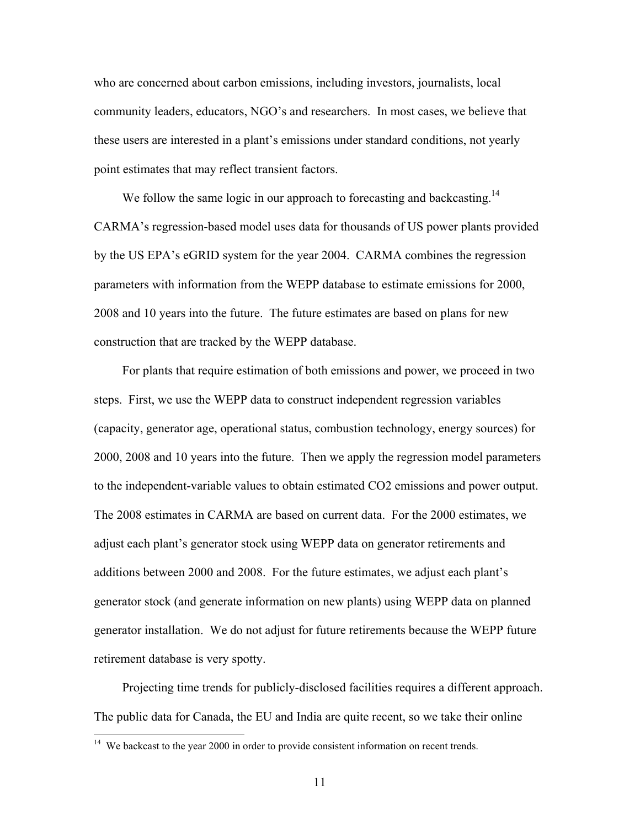who are concerned about carbon emissions, including investors, journalists, local community leaders, educators, NGO's and researchers. In most cases, we believe that these users are interested in a plant's emissions under standard conditions, not yearly point estimates that may reflect transient factors.

We follow the same logic in our approach to forecasting and backcasting.<sup>14</sup> CARMA's regression-based model uses data for thousands of US power plants provided by the US EPA's eGRID system for the year 2004. CARMA combines the regression parameters with information from the WEPP database to estimate emissions for 2000, 2008 and 10 years into the future. The future estimates are based on plans for new construction that are tracked by the WEPP database.

For plants that require estimation of both emissions and power, we proceed in two steps. First, we use the WEPP data to construct independent regression variables (capacity, generator age, operational status, combustion technology, energy sources) for 2000, 2008 and 10 years into the future. Then we apply the regression model parameters to the independent-variable values to obtain estimated CO2 emissions and power output. The 2008 estimates in CARMA are based on current data. For the 2000 estimates, we adjust each plant's generator stock using WEPP data on generator retirements and additions between 2000 and 2008. For the future estimates, we adjust each plant's generator stock (and generate information on new plants) using WEPP data on planned generator installation. We do not adjust for future retirements because the WEPP future retirement database is very spotty.

Projecting time trends for publicly-disclosed facilities requires a different approach. The public data for Canada, the EU and India are quite recent, so we take their online

 $14$  We backcast to the year 2000 in order to provide consistent information on recent trends.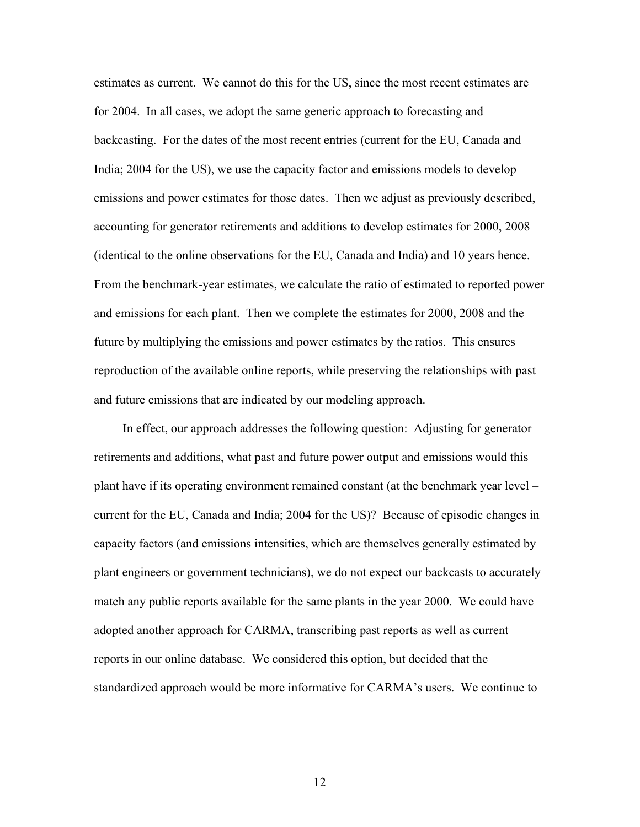estimates as current. We cannot do this for the US, since the most recent estimates are for 2004. In all cases, we adopt the same generic approach to forecasting and backcasting. For the dates of the most recent entries (current for the EU, Canada and India; 2004 for the US), we use the capacity factor and emissions models to develop emissions and power estimates for those dates. Then we adjust as previously described, accounting for generator retirements and additions to develop estimates for 2000, 2008 (identical to the online observations for the EU, Canada and India) and 10 years hence. From the benchmark-year estimates, we calculate the ratio of estimated to reported power and emissions for each plant. Then we complete the estimates for 2000, 2008 and the future by multiplying the emissions and power estimates by the ratios. This ensures reproduction of the available online reports, while preserving the relationships with past and future emissions that are indicated by our modeling approach.

In effect, our approach addresses the following question: Adjusting for generator retirements and additions, what past and future power output and emissions would this plant have if its operating environment remained constant (at the benchmark year level – current for the EU, Canada and India; 2004 for the US)? Because of episodic changes in capacity factors (and emissions intensities, which are themselves generally estimated by plant engineers or government technicians), we do not expect our backcasts to accurately match any public reports available for the same plants in the year 2000. We could have adopted another approach for CARMA, transcribing past reports as well as current reports in our online database. We considered this option, but decided that the standardized approach would be more informative for CARMA's users. We continue to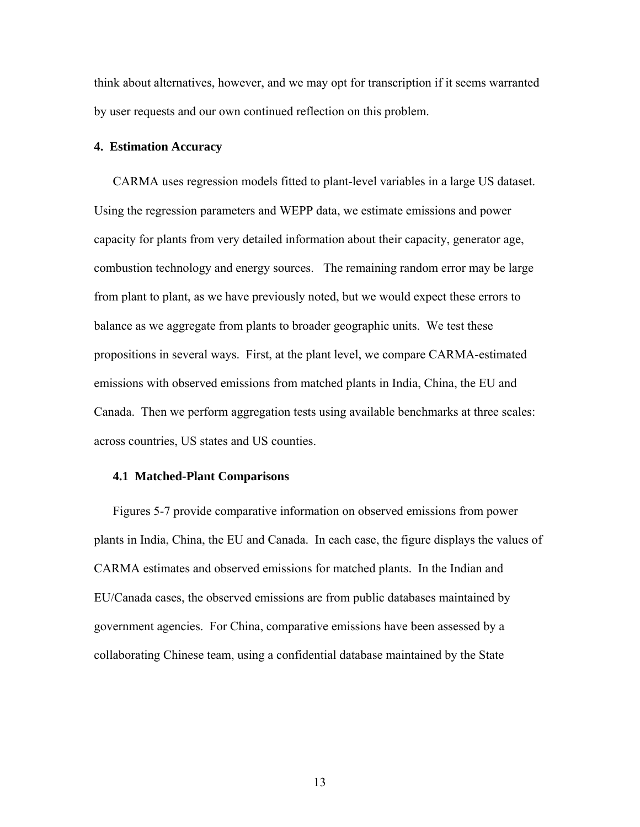think about alternatives, however, and we may opt for transcription if it seems warranted by user requests and our own continued reflection on this problem.

#### **4. Estimation Accuracy**

CARMA uses regression models fitted to plant-level variables in a large US dataset. Using the regression parameters and WEPP data, we estimate emissions and power capacity for plants from very detailed information about their capacity, generator age, combustion technology and energy sources. The remaining random error may be large from plant to plant, as we have previously noted, but we would expect these errors to balance as we aggregate from plants to broader geographic units. We test these propositions in several ways. First, at the plant level, we compare CARMA-estimated emissions with observed emissions from matched plants in India, China, the EU and Canada. Then we perform aggregation tests using available benchmarks at three scales: across countries, US states and US counties.

#### **4.1 Matched-Plant Comparisons**

Figures 5-7 provide comparative information on observed emissions from power plants in India, China, the EU and Canada. In each case, the figure displays the values of CARMA estimates and observed emissions for matched plants. In the Indian and EU/Canada cases, the observed emissions are from public databases maintained by government agencies. For China, comparative emissions have been assessed by a collaborating Chinese team, using a confidential database maintained by the State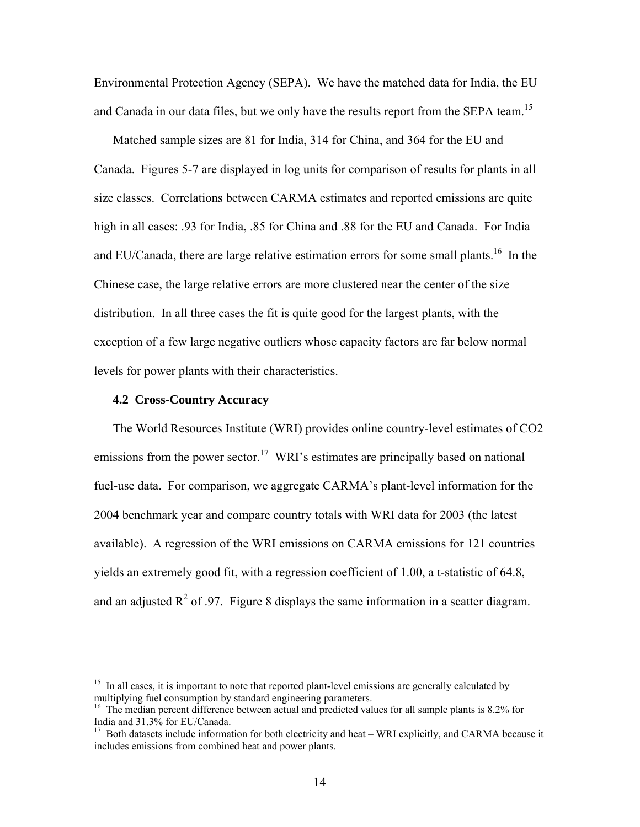Environmental Protection Agency (SEPA). We have the matched data for India, the EU and Canada in our data files, but we only have the results report from the SEPA team.<sup>15</sup>

Matched sample sizes are 81 for India, 314 for China, and 364 for the EU and Canada. Figures 5-7 are displayed in log units for comparison of results for plants in all size classes. Correlations between CARMA estimates and reported emissions are quite high in all cases: .93 for India, .85 for China and .88 for the EU and Canada. For India and EU/Canada, there are large relative estimation errors for some small plants.<sup>16</sup> In the Chinese case, the large relative errors are more clustered near the center of the size distribution. In all three cases the fit is quite good for the largest plants, with the exception of a few large negative outliers whose capacity factors are far below normal levels for power plants with their characteristics.

#### **4.2 Cross-Country Accuracy**

1

The World Resources Institute (WRI) provides online country-level estimates of CO2 emissions from the power sector.<sup>17</sup> WRI's estimates are principally based on national fuel-use data. For comparison, we aggregate CARMA's plant-level information for the 2004 benchmark year and compare country totals with WRI data for 2003 (the latest available). A regression of the WRI emissions on CARMA emissions for 121 countries yields an extremely good fit, with a regression coefficient of 1.00, a t-statistic of 64.8, and an adjusted  $R^2$  of .97. Figure 8 displays the same information in a scatter diagram.

<sup>&</sup>lt;sup>15</sup> In all cases, it is important to note that reported plant-level emissions are generally calculated by multiplying fuel consumption by standard engineering parameters.

<sup>&</sup>lt;sup>16</sup> The median percent difference between actual and predicted values for all sample plants is 8.2% for India and 31.3% for EU/Canada.

 $17$  Both datasets include information for both electricity and heat – WRI explicitly, and CARMA because it includes emissions from combined heat and power plants.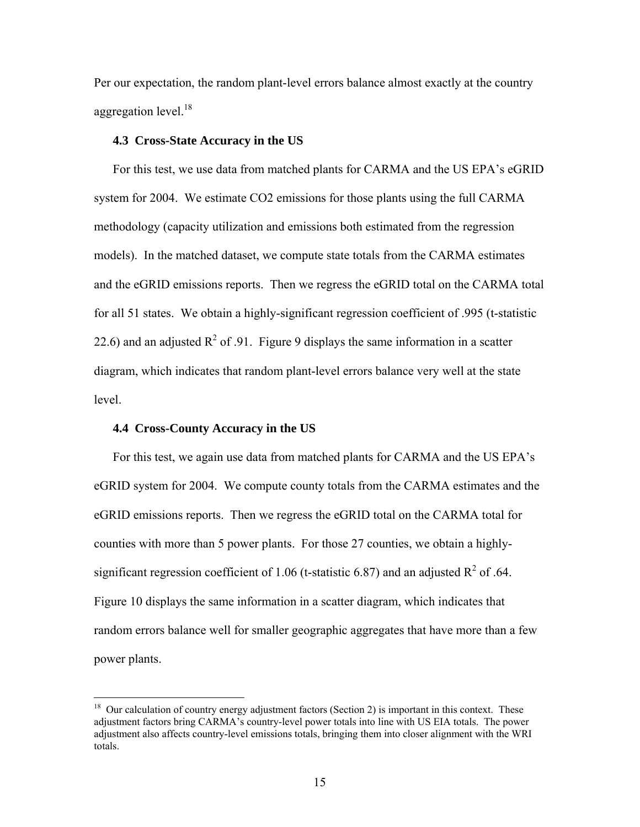Per our expectation, the random plant-level errors balance almost exactly at the country aggregation level.<sup>18</sup>

#### **4.3 Cross-State Accuracy in the US**

For this test, we use data from matched plants for CARMA and the US EPA's eGRID system for 2004. We estimate CO2 emissions for those plants using the full CARMA methodology (capacity utilization and emissions both estimated from the regression models). In the matched dataset, we compute state totals from the CARMA estimates and the eGRID emissions reports. Then we regress the eGRID total on the CARMA total for all 51 states. We obtain a highly-significant regression coefficient of .995 (t-statistic 22.6) and an adjusted  $R^2$  of .91. Figure 9 displays the same information in a scatter diagram, which indicates that random plant-level errors balance very well at the state level.

#### **4.4 Cross-County Accuracy in the US**

<u>.</u>

For this test, we again use data from matched plants for CARMA and the US EPA's eGRID system for 2004. We compute county totals from the CARMA estimates and the eGRID emissions reports. Then we regress the eGRID total on the CARMA total for counties with more than 5 power plants. For those 27 counties, we obtain a highlysignificant regression coefficient of 1.06 (t-statistic 6.87) and an adjusted  $\mathbb{R}^2$  of .64. Figure 10 displays the same information in a scatter diagram, which indicates that random errors balance well for smaller geographic aggregates that have more than a few power plants.

 $18$  Our calculation of country energy adjustment factors (Section 2) is important in this context. These adjustment factors bring CARMA's country-level power totals into line with US EIA totals. The power adjustment also affects country-level emissions totals, bringing them into closer alignment with the WRI totals.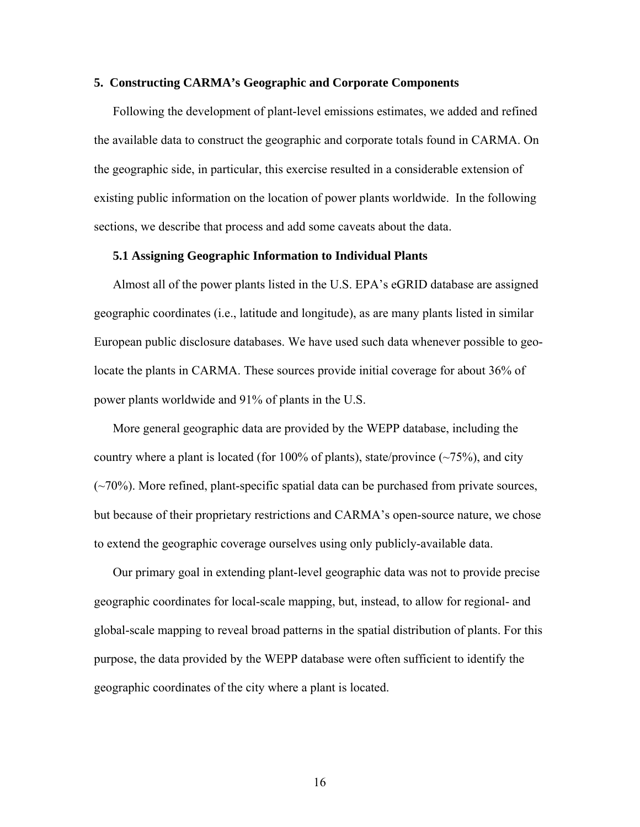#### **5. Constructing CARMA's Geographic and Corporate Components**

Following the development of plant-level emissions estimates, we added and refined the available data to construct the geographic and corporate totals found in CARMA. On the geographic side, in particular, this exercise resulted in a considerable extension of existing public information on the location of power plants worldwide. In the following sections, we describe that process and add some caveats about the data.

#### **5.1 Assigning Geographic Information to Individual Plants**

Almost all of the power plants listed in the U.S. EPA's eGRID database are assigned geographic coordinates (i.e., latitude and longitude), as are many plants listed in similar European public disclosure databases. We have used such data whenever possible to geolocate the plants in CARMA. These sources provide initial coverage for about 36% of power plants worldwide and 91% of plants in the U.S.

More general geographic data are provided by the WEPP database, including the country where a plant is located (for 100% of plants), state/province  $(\sim 75\%)$ , and city  $(\sim 70\%)$ . More refined, plant-specific spatial data can be purchased from private sources, but because of their proprietary restrictions and CARMA's open-source nature, we chose to extend the geographic coverage ourselves using only publicly-available data.

Our primary goal in extending plant-level geographic data was not to provide precise geographic coordinates for local-scale mapping, but, instead, to allow for regional- and global-scale mapping to reveal broad patterns in the spatial distribution of plants. For this purpose, the data provided by the WEPP database were often sufficient to identify the geographic coordinates of the city where a plant is located.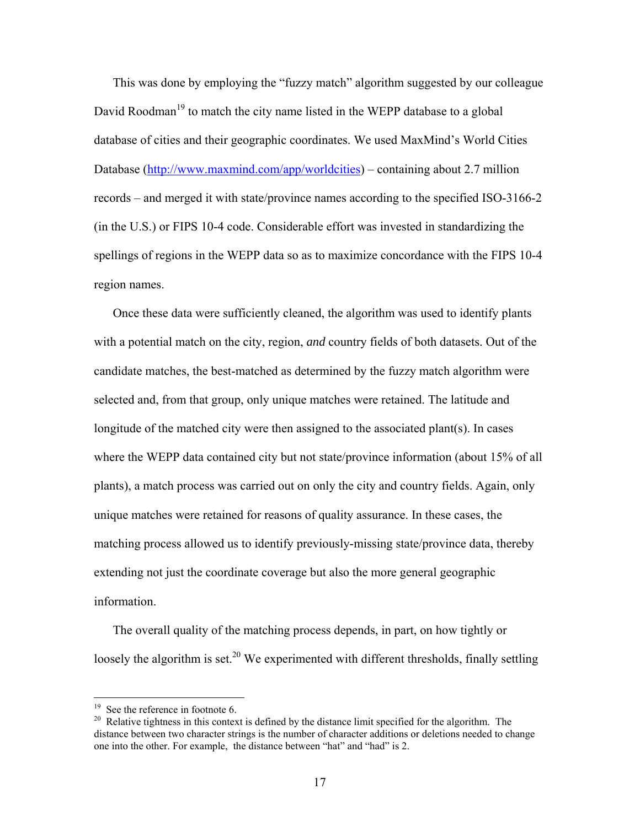This was done by employing the "fuzzy match" algorithm suggested by our colleague David Roodman<sup>19</sup> to match the city name listed in the WEPP database to a global database of cities and their geographic coordinates. We used MaxMind's World Cities Database (http://www.maxmind.com/app/worldcities) – containing about 2.7 million records – and merged it with state/province names according to the specified ISO-3166-2 (in the U.S.) or FIPS 10-4 code. Considerable effort was invested in standardizing the spellings of regions in the WEPP data so as to maximize concordance with the FIPS 10-4 region names.

Once these data were sufficiently cleaned, the algorithm was used to identify plants with a potential match on the city, region, *and* country fields of both datasets. Out of the candidate matches, the best-matched as determined by the fuzzy match algorithm were selected and, from that group, only unique matches were retained. The latitude and longitude of the matched city were then assigned to the associated plant(s). In cases where the WEPP data contained city but not state/province information (about 15% of all plants), a match process was carried out on only the city and country fields. Again, only unique matches were retained for reasons of quality assurance. In these cases, the matching process allowed us to identify previously-missing state/province data, thereby extending not just the coordinate coverage but also the more general geographic information.

The overall quality of the matching process depends, in part, on how tightly or loosely the algorithm is set.<sup>20</sup> We experimented with different thresholds, finally settling

 $19$  See the reference in footnote 6.

<sup>&</sup>lt;sup>20</sup> Relative tightness in this context is defined by the distance limit specified for the algorithm. The distance between two character strings is the number of character additions or deletions needed to change one into the other. For example, the distance between "hat" and "had" is 2.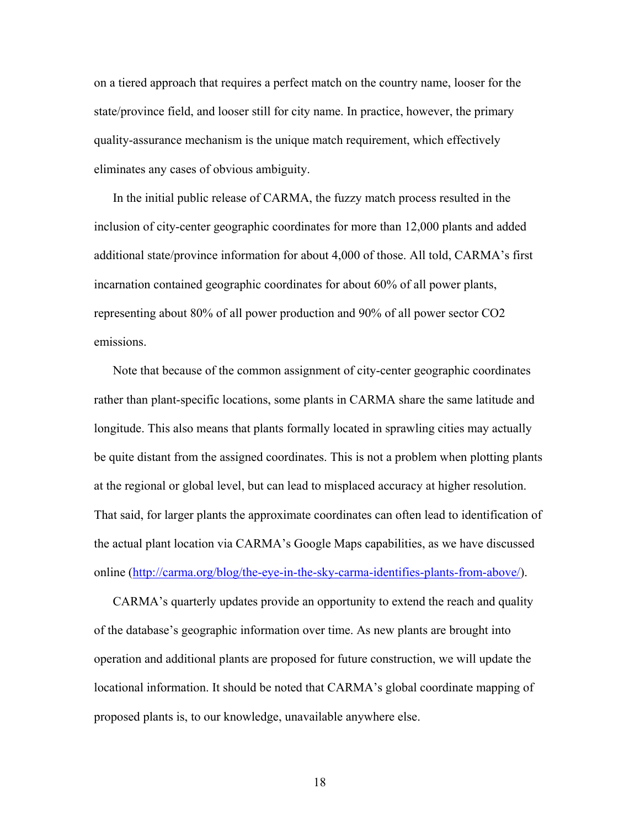on a tiered approach that requires a perfect match on the country name, looser for the state/province field, and looser still for city name. In practice, however, the primary quality-assurance mechanism is the unique match requirement, which effectively eliminates any cases of obvious ambiguity.

In the initial public release of CARMA, the fuzzy match process resulted in the inclusion of city-center geographic coordinates for more than 12,000 plants and added additional state/province information for about 4,000 of those. All told, CARMA's first incarnation contained geographic coordinates for about 60% of all power plants, representing about 80% of all power production and 90% of all power sector CO2 emissions.

Note that because of the common assignment of city-center geographic coordinates rather than plant-specific locations, some plants in CARMA share the same latitude and longitude. This also means that plants formally located in sprawling cities may actually be quite distant from the assigned coordinates. This is not a problem when plotting plants at the regional or global level, but can lead to misplaced accuracy at higher resolution. That said, for larger plants the approximate coordinates can often lead to identification of the actual plant location via CARMA's Google Maps capabilities, as we have discussed online (http://carma.org/blog/the-eye-in-the-sky-carma-identifies-plants-from-above/).

CARMA's quarterly updates provide an opportunity to extend the reach and quality of the database's geographic information over time. As new plants are brought into operation and additional plants are proposed for future construction, we will update the locational information. It should be noted that CARMA's global coordinate mapping of proposed plants is, to our knowledge, unavailable anywhere else.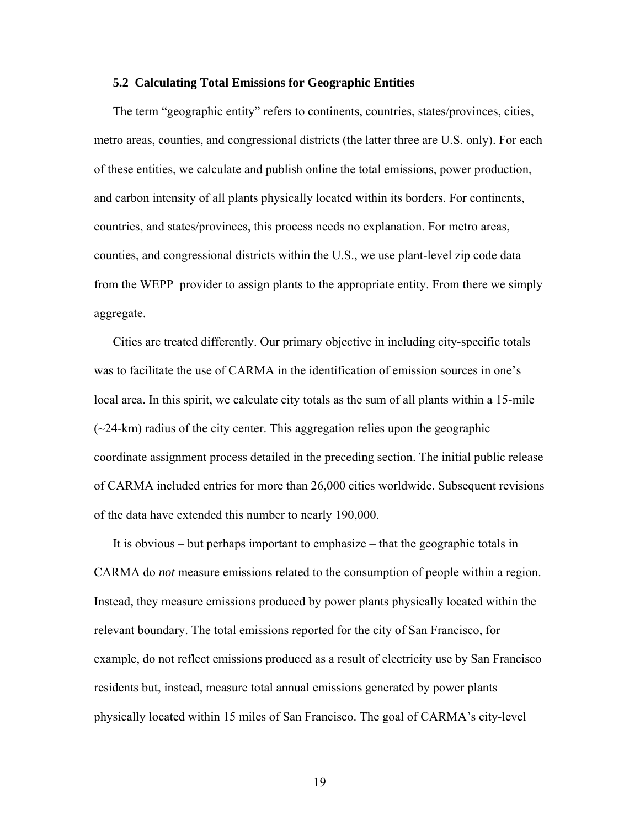#### **5.2 Calculating Total Emissions for Geographic Entities**

The term "geographic entity" refers to continents, countries, states/provinces, cities, metro areas, counties, and congressional districts (the latter three are U.S. only). For each of these entities, we calculate and publish online the total emissions, power production, and carbon intensity of all plants physically located within its borders. For continents, countries, and states/provinces, this process needs no explanation. For metro areas, counties, and congressional districts within the U.S., we use plant-level zip code data from the WEPP provider to assign plants to the appropriate entity. From there we simply aggregate.

Cities are treated differently. Our primary objective in including city-specific totals was to facilitate the use of CARMA in the identification of emission sources in one's local area. In this spirit, we calculate city totals as the sum of all plants within a 15-mile  $(\sim 24$ -km) radius of the city center. This aggregation relies upon the geographic coordinate assignment process detailed in the preceding section. The initial public release of CARMA included entries for more than 26,000 cities worldwide. Subsequent revisions of the data have extended this number to nearly 190,000.

It is obvious – but perhaps important to emphasize – that the geographic totals in CARMA do *not* measure emissions related to the consumption of people within a region. Instead, they measure emissions produced by power plants physically located within the relevant boundary. The total emissions reported for the city of San Francisco, for example, do not reflect emissions produced as a result of electricity use by San Francisco residents but, instead, measure total annual emissions generated by power plants physically located within 15 miles of San Francisco. The goal of CARMA's city-level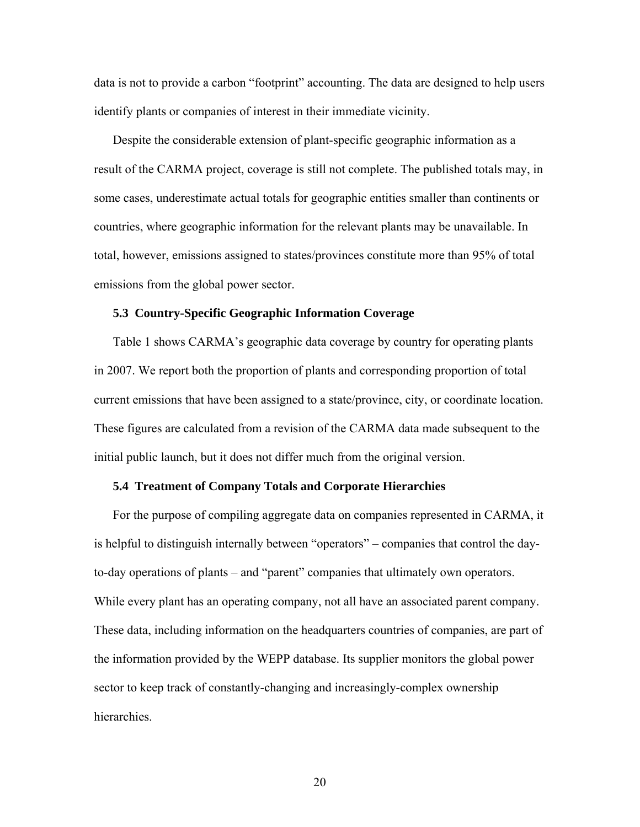data is not to provide a carbon "footprint" accounting. The data are designed to help users identify plants or companies of interest in their immediate vicinity.

Despite the considerable extension of plant-specific geographic information as a result of the CARMA project, coverage is still not complete. The published totals may, in some cases, underestimate actual totals for geographic entities smaller than continents or countries, where geographic information for the relevant plants may be unavailable. In total, however, emissions assigned to states/provinces constitute more than 95% of total emissions from the global power sector.

#### **5.3 Country-Specific Geographic Information Coverage**

Table 1 shows CARMA's geographic data coverage by country for operating plants in 2007. We report both the proportion of plants and corresponding proportion of total current emissions that have been assigned to a state/province, city, or coordinate location. These figures are calculated from a revision of the CARMA data made subsequent to the initial public launch, but it does not differ much from the original version.

#### **5.4 Treatment of Company Totals and Corporate Hierarchies**

For the purpose of compiling aggregate data on companies represented in CARMA, it is helpful to distinguish internally between "operators" – companies that control the dayto-day operations of plants – and "parent" companies that ultimately own operators. While every plant has an operating company, not all have an associated parent company. These data, including information on the headquarters countries of companies, are part of the information provided by the WEPP database. Its supplier monitors the global power sector to keep track of constantly-changing and increasingly-complex ownership hierarchies.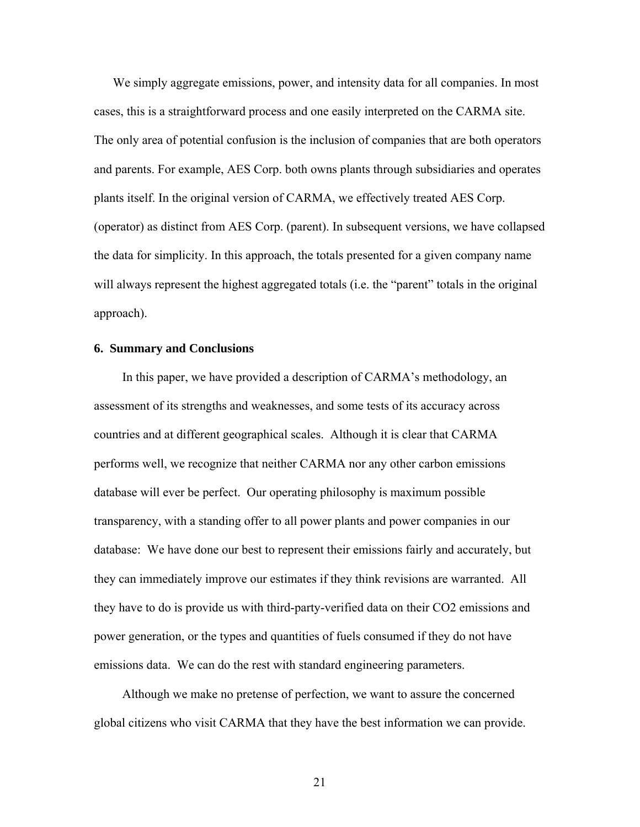We simply aggregate emissions, power, and intensity data for all companies. In most cases, this is a straightforward process and one easily interpreted on the CARMA site. The only area of potential confusion is the inclusion of companies that are both operators and parents. For example, AES Corp. both owns plants through subsidiaries and operates plants itself. In the original version of CARMA, we effectively treated AES Corp. (operator) as distinct from AES Corp. (parent). In subsequent versions, we have collapsed the data for simplicity. In this approach, the totals presented for a given company name will always represent the highest aggregated totals (i.e. the "parent" totals in the original approach).

#### **6. Summary and Conclusions**

In this paper, we have provided a description of CARMA's methodology, an assessment of its strengths and weaknesses, and some tests of its accuracy across countries and at different geographical scales. Although it is clear that CARMA performs well, we recognize that neither CARMA nor any other carbon emissions database will ever be perfect. Our operating philosophy is maximum possible transparency, with a standing offer to all power plants and power companies in our database: We have done our best to represent their emissions fairly and accurately, but they can immediately improve our estimates if they think revisions are warranted. All they have to do is provide us with third-party-verified data on their CO2 emissions and power generation, or the types and quantities of fuels consumed if they do not have emissions data. We can do the rest with standard engineering parameters.

Although we make no pretense of perfection, we want to assure the concerned global citizens who visit CARMA that they have the best information we can provide.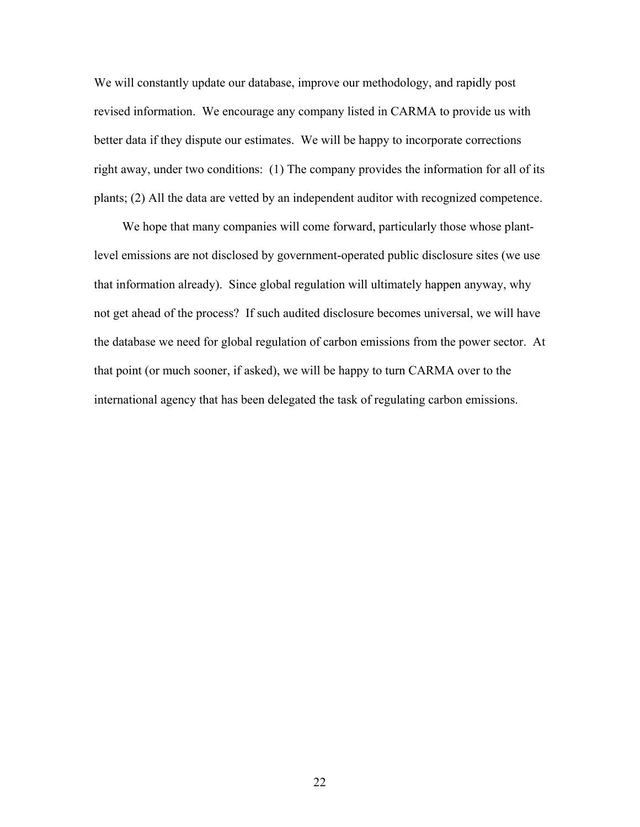We will constantly update our database, improve our methodology, and rapidly post revised information. We encourage any company listed in CARMA to provide us with better data if they dispute our estimates. We will be happy to incorporate corrections right away, under two conditions: (1) The company provides the information for all of its plants; (2) All the data are vetted by an independent auditor with recognized competence.

We hope that many companies will come forward, particularly those whose plantlevel emissions are not disclosed by government-operated public disclosure sites (we use that information already). Since global regulation will ultimately happen anyway, why not get ahead of the process? If such audited disclosure becomes universal, we will have the database we need for global regulation of carbon emissions from the power sector. At that point (or much sooner, if asked), we will be happy to turn CARMA over to the international agency that has been delegated the task of regulating carbon emissions.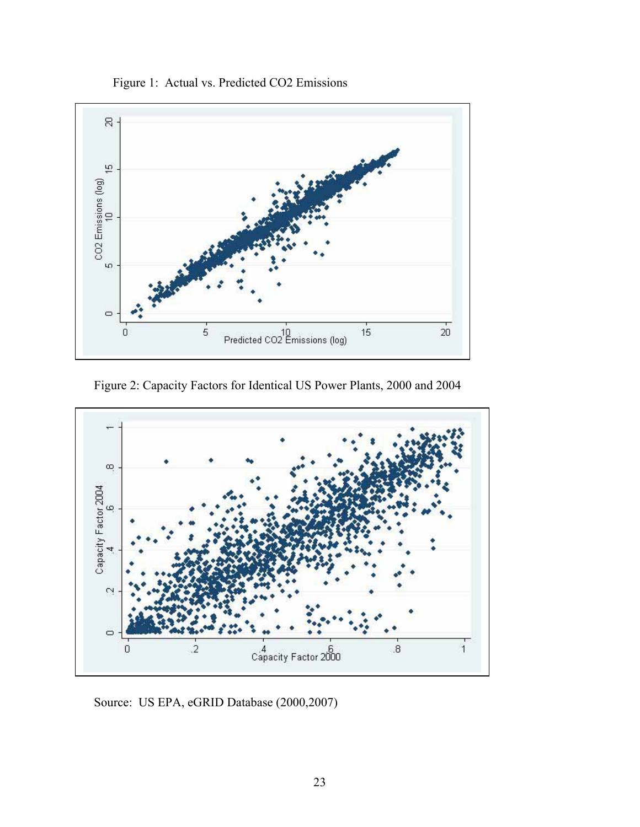

Figure 2: Capacity Factors for Identical US Power Plants, 2000 and 2004



Source: US EPA, eGRID Database (2000,2007)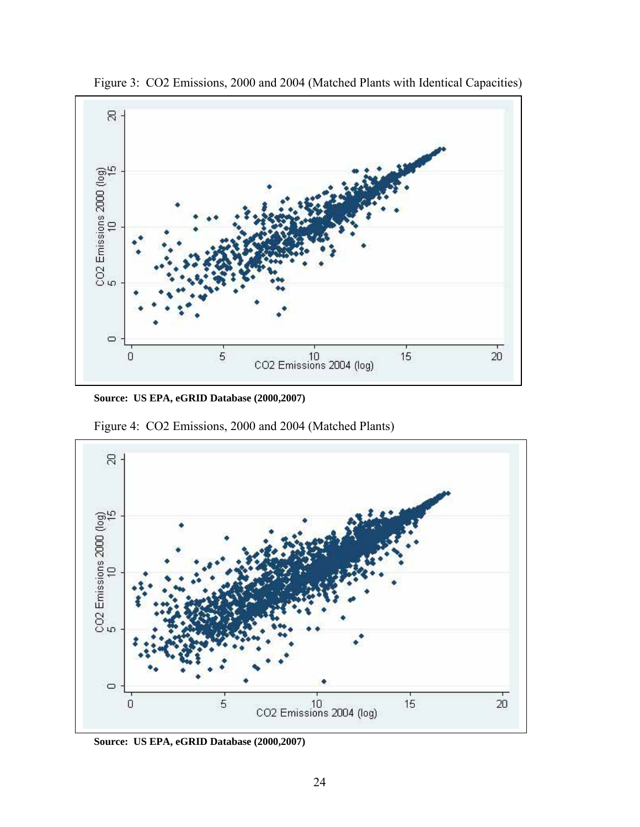

Figure 3: CO2 Emissions, 2000 and 2004 (Matched Plants with Identical Capacities)

**Source: US EPA, eGRID Database (2000,2007)** 

Figure 4: CO2 Emissions, 2000 and 2004 (Matched Plants)



**Source: US EPA, eGRID Database (2000,2007)**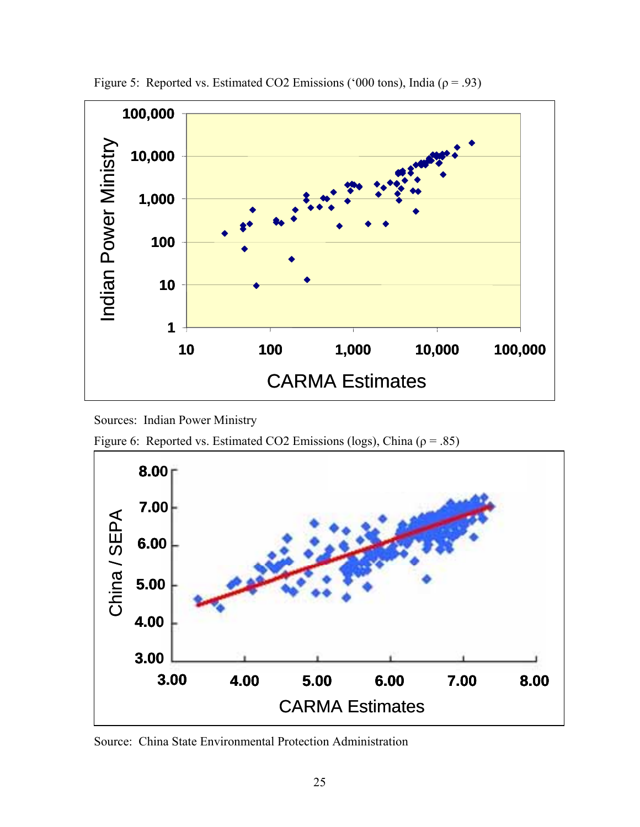

Figure 5: Reported vs. Estimated CO2 Emissions ('000 tons), India ( $\rho = .93$ )

Sources: Indian Power Ministry

Figure 6: Reported vs. Estimated CO2 Emissions (logs), China ( $\rho = .85$ )



Source: China State Environmental Protection Administration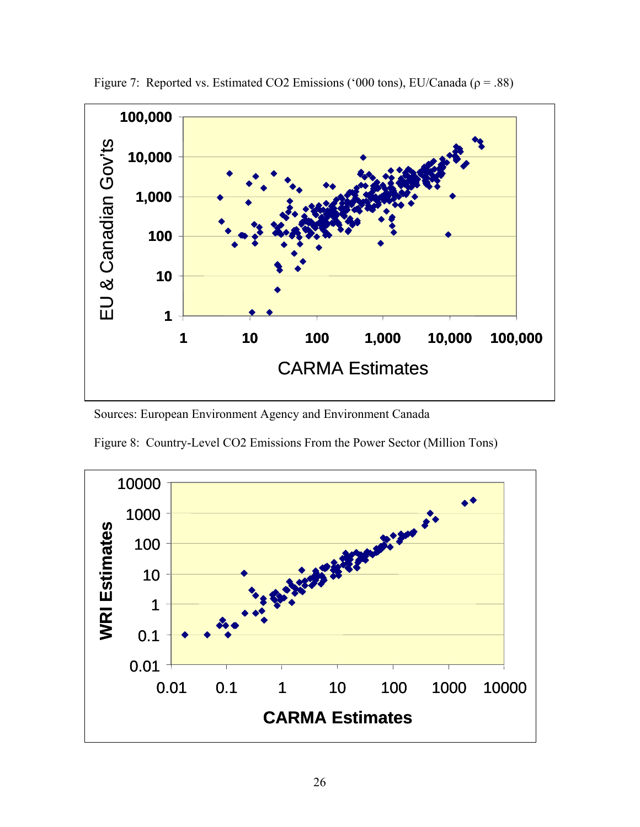

Figure 7: Reported vs. Estimated CO2 Emissions ('000 tons), EU/Canada ( $\rho = .88$ )

Sources: European Environment Agency and Environment Canada



Figure 8: Country-Level CO2 Emissions From the Power Sector (Million Tons)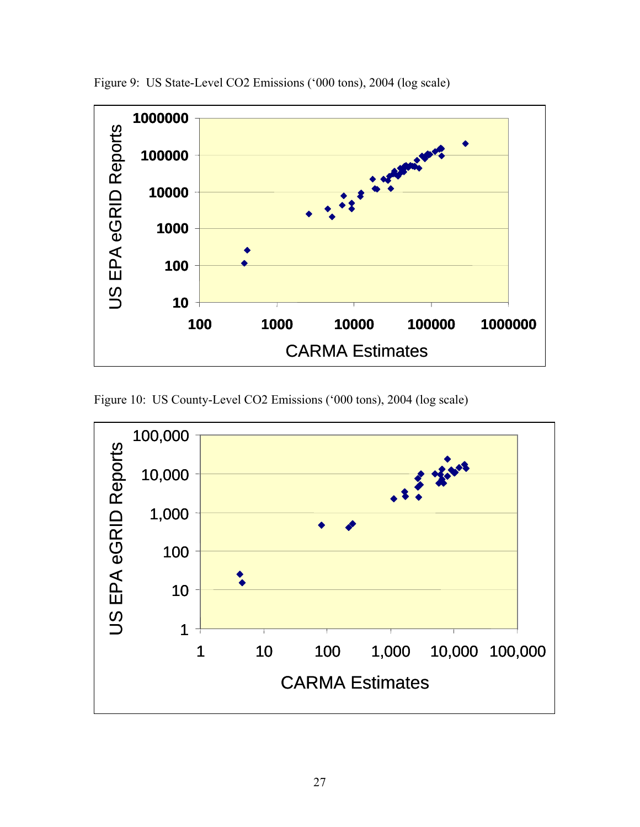

Figure 9: US State-Level CO2 Emissions ('000 tons), 2004 (log scale)

Figure 10: US County-Level CO2 Emissions ('000 tons), 2004 (log scale)

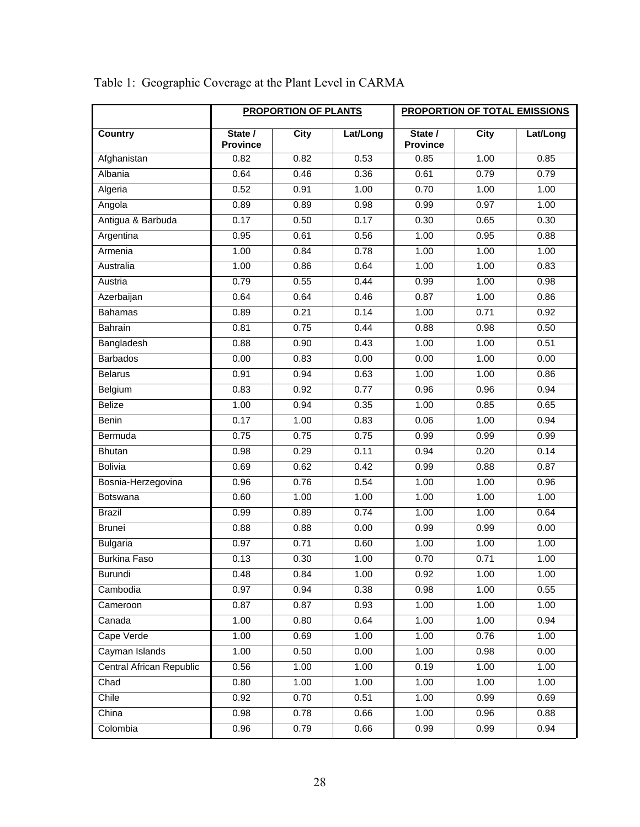|                          | <b>PROPORTION OF PLANTS</b> |             | <b>PROPORTION OF TOTAL EMISSIONS</b> |                            |             |          |
|--------------------------|-----------------------------|-------------|--------------------------------------|----------------------------|-------------|----------|
| <b>Country</b>           | State /<br><b>Province</b>  | <b>City</b> | Lat/Long                             | State /<br><b>Province</b> | <b>City</b> | Lat/Long |
| Afghanistan              | 0.82                        | 0.82        | 0.53                                 | 0.85                       | 1.00        | 0.85     |
| Albania                  | 0.64                        | 0.46        | 0.36                                 | 0.61                       | 0.79        | 0.79     |
| Algeria                  | 0.52                        | 0.91        | 1.00                                 | 0.70                       | 1.00        | 1.00     |
| Angola                   | 0.89                        | 0.89        | 0.98                                 | 0.99                       | 0.97        | 1.00     |
| Antigua & Barbuda        | 0.17                        | 0.50        | 0.17                                 | 0.30                       | 0.65        | 0.30     |
| Argentina                | 0.95                        | 0.61        | 0.56                                 | 1.00                       | 0.95        | 0.88     |
| Armenia                  | 1.00                        | 0.84        | 0.78                                 | 1.00                       | 1.00        | 1.00     |
| Australia                | 1.00                        | 0.86        | 0.64                                 | 1.00                       | 1.00        | 0.83     |
| Austria                  | 0.79                        | 0.55        | 0.44                                 | 0.99                       | 1.00        | 0.98     |
| Azerbaijan               | 0.64                        | 0.64        | 0.46                                 | 0.87                       | 1.00        | 0.86     |
| <b>Bahamas</b>           | 0.89                        | 0.21        | 0.14                                 | 1.00                       | 0.71        | 0.92     |
| Bahrain                  | 0.81                        | 0.75        | 0.44                                 | 0.88                       | 0.98        | 0.50     |
| Bangladesh               | 0.88                        | 0.90        | 0.43                                 | 1.00                       | 1.00        | 0.51     |
| <b>Barbados</b>          | 0.00                        | 0.83        | 0.00                                 | 0.00                       | 1.00        | 0.00     |
| <b>Belarus</b>           | 0.91                        | 0.94        | 0.63                                 | 1.00                       | 1.00        | 0.86     |
| Belgium                  | 0.83                        | 0.92        | 0.77                                 | 0.96                       | 0.96        | 0.94     |
| <b>Belize</b>            | 1.00                        | 0.94        | 0.35                                 | 1.00                       | 0.85        | 0.65     |
| Benin                    | 0.17                        | 1.00        | 0.83                                 | 0.06                       | 1.00        | 0.94     |
| Bermuda                  | 0.75                        | 0.75        | 0.75                                 | 0.99                       | 0.99        | 0.99     |
| <b>Bhutan</b>            | 0.98                        | 0.29        | 0.11                                 | 0.94                       | 0.20        | 0.14     |
| Bolivia                  | 0.69                        | 0.62        | 0.42                                 | 0.99                       | 0.88        | 0.87     |
| Bosnia-Herzegovina       | 0.96                        | 0.76        | 0.54                                 | 1.00                       | 1.00        | 0.96     |
| Botswana                 | 0.60                        | 1.00        | 1.00                                 | 1.00                       | 1.00        | 1.00     |
| <b>Brazil</b>            | 0.99                        | 0.89        | 0.74                                 | 1.00                       | 1.00        | 0.64     |
| <b>Brunei</b>            | 0.88                        | 0.88        | 0.00                                 | 0.99                       | 0.99        | 0.00     |
| <b>Bulgaria</b>          | 0.97                        | 0.71        | 0.60                                 | 1.00                       | 1.00        | 1.00     |
| <b>Burkina Faso</b>      | 0.13                        | 0.30        | 1.00                                 | 0.70                       | 0.71        | 1.00     |
| Burundi                  | 0.48                        | 0.84        | 1.00                                 | 0.92                       | 1.00        | 1.00     |
| Cambodia                 | 0.97                        | 0.94        | 0.38                                 | 0.98                       | 1.00        | 0.55     |
| Cameroon                 | 0.87                        | 0.87        | 0.93                                 | 1.00                       | 1.00        | 1.00     |
| Canada                   | 1.00                        | 0.80        | 0.64                                 | 1.00                       | 1.00        | 0.94     |
| Cape Verde               | $\overline{1.00}$           | 0.69        | 1.00                                 | 1.00                       | 0.76        | 1.00     |
| Cayman Islands           | 1.00                        | 0.50        | 0.00                                 | 1.00                       | 0.98        | 0.00     |
| Central African Republic | 0.56                        | 1.00        | 1.00                                 | 0.19                       | 1.00        | 1.00     |
| Chad                     | 0.80                        | 1.00        | 1.00                                 | 1.00                       | 1.00        | 1.00     |
| Chile                    | 0.92                        | 0.70        | 0.51                                 | 1.00                       | 0.99        | 0.69     |
| China                    | 0.98                        | 0.78        | 0.66                                 | 1.00                       | 0.96        | 0.88     |
| Colombia                 | 0.96                        | 0.79        | 0.66                                 | 0.99                       | 0.99        | 0.94     |

# Table 1: Geographic Coverage at the Plant Level in CARMA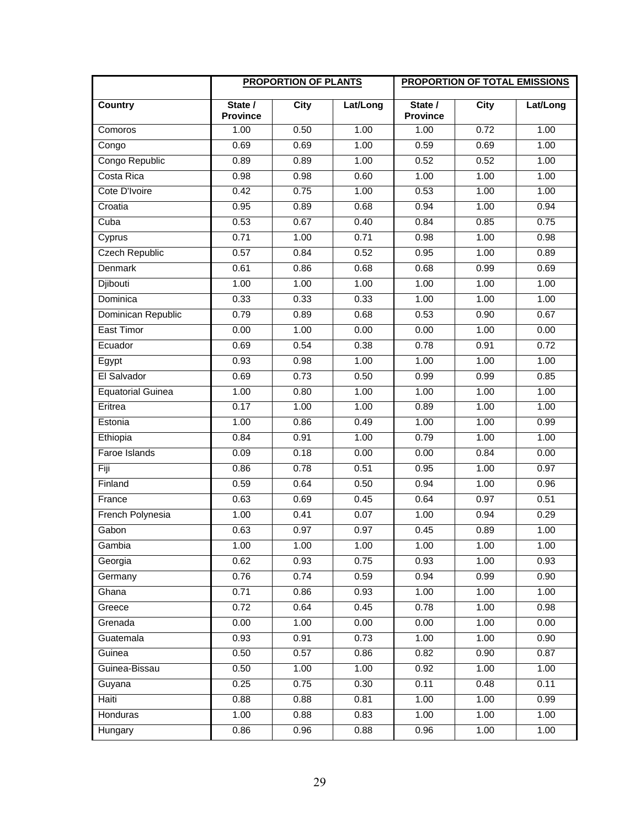|                          | <b>PROPORTION OF PLANTS</b> |             |          | <b>PROPORTION OF TOTAL EMISSIONS</b> |             |          |
|--------------------------|-----------------------------|-------------|----------|--------------------------------------|-------------|----------|
| <b>Country</b>           | State /<br><b>Province</b>  | <b>City</b> | Lat/Long | State /<br><b>Province</b>           | <b>City</b> | Lat/Long |
| Comoros                  | 1.00                        | 0.50        | 1.00     | 1.00                                 | 0.72        | 1.00     |
| Congo                    | 0.69                        | 0.69        | 1.00     | 0.59                                 | 0.69        | 1.00     |
| Congo Republic           | 0.89                        | 0.89        | 1.00     | 0.52                                 | 0.52        | 1.00     |
| Costa Rica               | 0.98                        | 0.98        | 0.60     | 1.00                                 | 1.00        | 1.00     |
| Cote D'Ivoire            | 0.42                        | 0.75        | 1.00     | 0.53                                 | 1.00        | 1.00     |
| Croatia                  | 0.95                        | 0.89        | 0.68     | 0.94                                 | 1.00        | 0.94     |
| Cuba                     | 0.53                        | 0.67        | 0.40     | 0.84                                 | 0.85        | 0.75     |
| Cyprus                   | 0.71                        | 1.00        | 0.71     | 0.98                                 | 1.00        | 0.98     |
| <b>Czech Republic</b>    | 0.57                        | 0.84        | 0.52     | 0.95                                 | 1.00        | 0.89     |
| Denmark                  | 0.61                        | 0.86        | 0.68     | 0.68                                 | 0.99        | 0.69     |
| <b>Djibouti</b>          | 1.00                        | 1.00        | 1.00     | 1.00                                 | 1.00        | 1.00     |
| Dominica                 | 0.33                        | 0.33        | 0.33     | 1.00                                 | 1.00        | 1.00     |
| Dominican Republic       | 0.79                        | 0.89        | 0.68     | 0.53                                 | 0.90        | 0.67     |
| <b>East Timor</b>        | 0.00                        | 1.00        | 0.00     | 0.00                                 | 1.00        | 0.00     |
| Ecuador                  | 0.69                        | 0.54        | 0.38     | 0.78                                 | 0.91        | 0.72     |
| Egypt                    | 0.93                        | 0.98        | 1.00     | 1.00                                 | 1.00        | 1.00     |
| El Salvador              | 0.69                        | 0.73        | 0.50     | 0.99                                 | 0.99        | 0.85     |
| <b>Equatorial Guinea</b> | 1.00                        | 0.80        | 1.00     | 1.00                                 | 1.00        | 1.00     |
| Eritrea                  | 0.17                        | 1.00        | 1.00     | 0.89                                 | 1.00        | 1.00     |
| Estonia                  | 1.00                        | 0.86        | 0.49     | 1.00                                 | 1.00        | 0.99     |
| Ethiopia                 | 0.84                        | 0.91        | 1.00     | 0.79                                 | 1.00        | 1.00     |
| Faroe Islands            | 0.09                        | 0.18        | 0.00     | 0.00                                 | 0.84        | 0.00     |
| Fiji                     | 0.86                        | 0.78        | 0.51     | 0.95                                 | 1.00        | 0.97     |
| Finland                  | 0.59                        | 0.64        | 0.50     | 0.94                                 | 1.00        | 0.96     |
| France                   | 0.63                        | 0.69        | 0.45     | 0.64                                 | 0.97        | 0.51     |
| French Polynesia         | 1.00                        | 0.41        | 0.07     | 1.00                                 | 0.94        | 0.29     |
| Gabon                    | 0.63                        | 0.97        | 0.97     | 0.45                                 | 0.89        | 1.00     |
| Gambia                   | 1.00                        | 1.00        | 1.00     | 1.00                                 | 1.00        | 1.00     |
| Georgia                  | 0.62                        | 0.93        | 0.75     | 0.93                                 | 1.00        | 0.93     |
| Germany                  | 0.76                        | 0.74        | 0.59     | 0.94                                 | 0.99        | 0.90     |
| Ghana                    | 0.71                        | 0.86        | 0.93     | 1.00                                 | 1.00        | 1.00     |
| Greece                   | 0.72                        | 0.64        | 0.45     | 0.78                                 | 1.00        | 0.98     |
| Grenada                  | 0.00                        | 1.00        | 0.00     | 0.00                                 | 1.00        | 0.00     |
| Guatemala                | 0.93                        | 0.91        | 0.73     | 1.00                                 | 1.00        | 0.90     |
| Guinea                   | 0.50                        | 0.57        | 0.86     | 0.82                                 | 0.90        | 0.87     |
| Guinea-Bissau            | 0.50                        | 1.00        | 1.00     | 0.92                                 | 1.00        | 1.00     |
| Guyana                   | 0.25                        | 0.75        | 0.30     | 0.11                                 | 0.48        | 0.11     |
| Haiti                    | 0.88                        | 0.88        | 0.81     | 1.00                                 | 1.00        | 0.99     |
| Honduras                 | 1.00                        | 0.88        | 0.83     | 1.00                                 | 1.00        | 1.00     |
| Hungary                  | 0.86                        | 0.96        | 0.88     | 0.96                                 | 1.00        | 1.00     |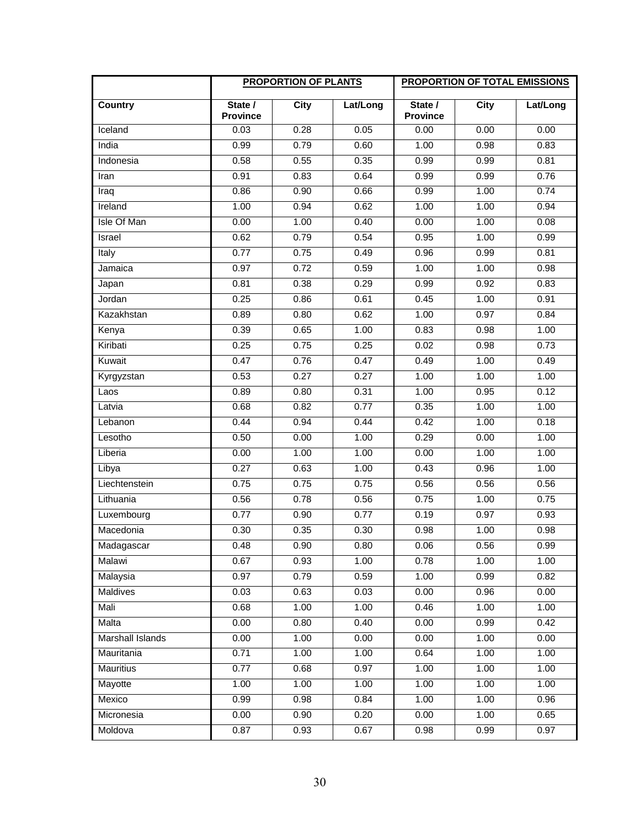|                  | <b>PROPORTION OF PLANTS</b> |             | <b>PROPORTION OF TOTAL EMISSIONS</b> |                            |             |          |
|------------------|-----------------------------|-------------|--------------------------------------|----------------------------|-------------|----------|
| <b>Country</b>   | State /<br><b>Province</b>  | <b>City</b> | Lat/Long                             | State /<br><b>Province</b> | <b>City</b> | Lat/Long |
| Iceland          | 0.03                        | 0.28        | 0.05                                 | 0.00                       | 0.00        | 0.00     |
| India            | 0.99                        | 0.79        | 0.60                                 | 1.00                       | 0.98        | 0.83     |
| Indonesia        | 0.58                        | 0.55        | 0.35                                 | 0.99                       | 0.99        | 0.81     |
| Iran             | 0.91                        | 0.83        | 0.64                                 | 0.99                       | 0.99        | 0.76     |
| Iraq             | 0.86                        | 0.90        | 0.66                                 | 0.99                       | 1.00        | 0.74     |
| Ireland          | 1.00                        | 0.94        | 0.62                                 | 1.00                       | 1.00        | 0.94     |
| Isle Of Man      | 0.00                        | 1.00        | 0.40                                 | 0.00                       | 1.00        | 0.08     |
| Israel           | 0.62                        | 0.79        | 0.54                                 | 0.95                       | 1.00        | 0.99     |
| Italy            | 0.77                        | 0.75        | 0.49                                 | 0.96                       | 0.99        | 0.81     |
| Jamaica          | 0.97                        | 0.72        | 0.59                                 | 1.00                       | 1.00        | 0.98     |
| Japan            | 0.81                        | 0.38        | 0.29                                 | 0.99                       | 0.92        | 0.83     |
| Jordan           | 0.25                        | 0.86        | 0.61                                 | 0.45                       | 1.00        | 0.91     |
| Kazakhstan       | 0.89                        | 0.80        | 0.62                                 | 1.00                       | 0.97        | 0.84     |
| Kenya            | 0.39                        | 0.65        | 1.00                                 | 0.83                       | 0.98        | 1.00     |
| Kiribati         | 0.25                        | 0.75        | 0.25                                 | 0.02                       | 0.98        | 0.73     |
| Kuwait           | 0.47                        | 0.76        | 0.47                                 | 0.49                       | 1.00        | 0.49     |
| Kyrgyzstan       | 0.53                        | 0.27        | 0.27                                 | 1.00                       | 1.00        | 1.00     |
| Laos             | 0.89                        | 0.80        | 0.31                                 | 1.00                       | 0.95        | 0.12     |
| Latvia           | 0.68                        | 0.82        | 0.77                                 | 0.35                       | 1.00        | 1.00     |
| Lebanon          | 0.44                        | 0.94        | 0.44                                 | 0.42                       | 1.00        | 0.18     |
| Lesotho          | 0.50                        | 0.00        | 1.00                                 | 0.29                       | 0.00        | 1.00     |
| Liberia          | 0.00                        | 1.00        | 1.00                                 | 0.00                       | 1.00        | 1.00     |
| Libya            | 0.27                        | 0.63        | 1.00                                 | 0.43                       | 0.96        | 1.00     |
| Liechtenstein    | 0.75                        | 0.75        | 0.75                                 | 0.56                       | 0.56        | 0.56     |
| Lithuania        | 0.56                        | 0.78        | 0.56                                 | 0.75                       | 1.00        | 0.75     |
| Luxembourg       | 0.77                        | 0.90        | 0.77                                 | 0.19                       | 0.97        | 0.93     |
| Macedonia        | 0.30                        | 0.35        | 0.30                                 | 0.98                       | 1.00        | 0.98     |
| Madagascar       | 0.48                        | 0.90        | 0.80                                 | 0.06                       | 0.56        | 0.99     |
| Malawi           | 0.67                        | 0.93        | 1.00                                 | 0.78                       | 1.00        | 1.00     |
| Malaysia         | 0.97                        | 0.79        | 0.59                                 | 1.00                       | 0.99        | 0.82     |
| Maldives         | 0.03                        | 0.63        | 0.03                                 | 0.00                       | 0.96        | 0.00     |
| Mali             | 0.68                        | 1.00        | 1.00                                 | 0.46                       | 1.00        | 1.00     |
| Malta            | 0.00                        | 0.80        | 0.40                                 | 0.00                       | 0.99        | 0.42     |
| Marshall Islands | 0.00                        | 1.00        | 0.00                                 | 0.00                       | 1.00        | 0.00     |
| Mauritania       | 0.71                        | 1.00        | 1.00                                 | 0.64                       | 1.00        | 1.00     |
| <b>Mauritius</b> | 0.77                        | 0.68        | 0.97                                 | 1.00                       | 1.00        | 1.00     |
| Mayotte          | 1.00                        | 1.00        | 1.00                                 | 1.00                       | 1.00        | 1.00     |
| Mexico           | 0.99                        | 0.98        | 0.84                                 | 1.00                       | 1.00        | 0.96     |
| Micronesia       | 0.00                        | 0.90        | 0.20                                 | 0.00                       | 1.00        | 0.65     |
| Moldova          | 0.87                        | 0.93        | 0.67                                 | 0.98                       | 0.99        | 0.97     |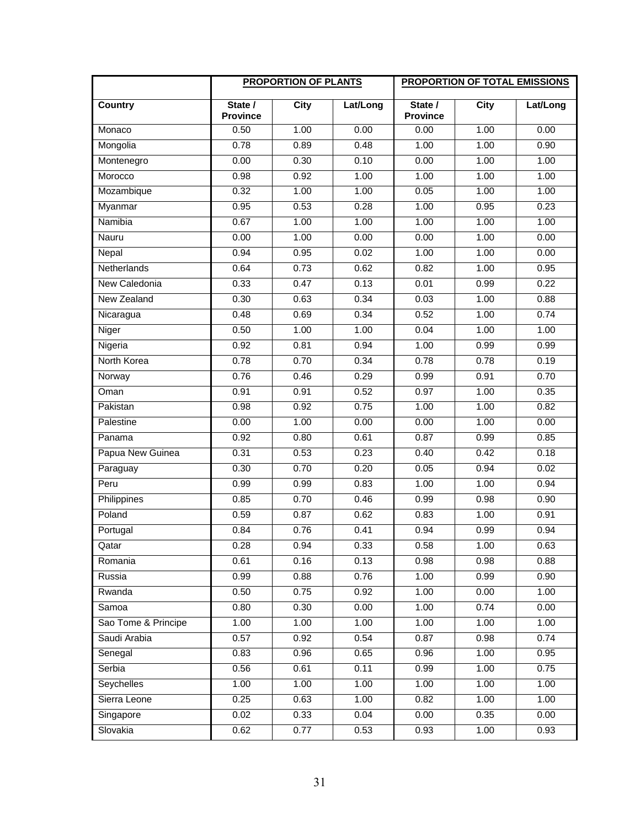|                     | <b>PROPORTION OF PLANTS</b> |             | <b>PROPORTION OF TOTAL EMISSIONS</b> |                            |             |          |
|---------------------|-----------------------------|-------------|--------------------------------------|----------------------------|-------------|----------|
| <b>Country</b>      | State /<br><b>Province</b>  | <b>City</b> | Lat/Long                             | State /<br><b>Province</b> | <b>City</b> | Lat/Long |
| Monaco              | 0.50                        | 1.00        | 0.00                                 | 0.00                       | 1.00        | 0.00     |
| Mongolia            | 0.78                        | 0.89        | 0.48                                 | 1.00                       | 1.00        | 0.90     |
| Montenegro          | 0.00                        | 0.30        | 0.10                                 | 0.00                       | 1.00        | 1.00     |
| Morocco             | 0.98                        | 0.92        | 1.00                                 | 1.00                       | 1.00        | 1.00     |
| Mozambique          | 0.32                        | 1.00        | 1.00                                 | 0.05                       | 1.00        | 1.00     |
| Myanmar             | 0.95                        | 0.53        | 0.28                                 | 1.00                       | 0.95        | 0.23     |
| Namibia             | 0.67                        | 1.00        | 1.00                                 | 1.00                       | 1.00        | 1.00     |
| Nauru               | 0.00                        | 1.00        | 0.00                                 | 0.00                       | 1.00        | 0.00     |
| Nepal               | 0.94                        | 0.95        | 0.02                                 | 1.00                       | 1.00        | 0.00     |
| Netherlands         | 0.64                        | 0.73        | 0.62                                 | 0.82                       | 1.00        | 0.95     |
| New Caledonia       | 0.33                        | 0.47        | 0.13                                 | 0.01                       | 0.99        | 0.22     |
| New Zealand         | 0.30                        | 0.63        | 0.34                                 | 0.03                       | 1.00        | 0.88     |
| Nicaragua           | 0.48                        | 0.69        | 0.34                                 | 0.52                       | 1.00        | 0.74     |
| Niger               | 0.50                        | 1.00        | 1.00                                 | 0.04                       | 1.00        | 1.00     |
| Nigeria             | 0.92                        | 0.81        | 0.94                                 | 1.00                       | 0.99        | 0.99     |
| North Korea         | 0.78                        | 0.70        | 0.34                                 | 0.78                       | 0.78        | 0.19     |
| Norway              | 0.76                        | 0.46        | 0.29                                 | 0.99                       | 0.91        | 0.70     |
| Oman                | 0.91                        | 0.91        | 0.52                                 | 0.97                       | 1.00        | 0.35     |
| Pakistan            | 0.98                        | 0.92        | 0.75                                 | 1.00                       | 1.00        | 0.82     |
| Palestine           | 0.00                        | 1.00        | 0.00                                 | 0.00                       | 1.00        | 0.00     |
| Panama              | 0.92                        | 0.80        | 0.61                                 | 0.87                       | 0.99        | 0.85     |
| Papua New Guinea    | 0.31                        | 0.53        | 0.23                                 | 0.40                       | 0.42        | 0.18     |
| Paraguay            | 0.30                        | 0.70        | 0.20                                 | 0.05                       | 0.94        | 0.02     |
| Peru                | 0.99                        | 0.99        | 0.83                                 | 1.00                       | 1.00        | 0.94     |
| Philippines         | 0.85                        | 0.70        | 0.46                                 | 0.99                       | 0.98        | 0.90     |
| Poland              | 0.59                        | 0.87        | 0.62                                 | 0.83                       | 1.00        | 0.91     |
| Portugal            | 0.84                        | 0.76        | 0.41                                 | 0.94                       | 0.99        | 0.94     |
| Qatar               | 0.28                        | 0.94        | 0.33                                 | 0.58                       | 1.00        | 0.63     |
| Romania             | 0.61                        | 0.16        | 0.13                                 | 0.98                       | 0.98        | 0.88     |
| Russia              | 0.99                        | 0.88        | 0.76                                 | 1.00                       | 0.99        | 0.90     |
| Rwanda              | 0.50                        | 0.75        | 0.92                                 | 1.00                       | 0.00        | 1.00     |
| Samoa               | 0.80                        | 0.30        | 0.00                                 | 1.00                       | 0.74        | 0.00     |
| Sao Tome & Principe | 1.00                        | 1.00        | 1.00                                 | 1.00                       | 1.00        | 1.00     |
| Saudi Arabia        | 0.57                        | 0.92        | 0.54                                 | 0.87                       | 0.98        | 0.74     |
| Senegal             | 0.83                        | 0.96        | 0.65                                 | 0.96                       | 1.00        | 0.95     |
| Serbia              | 0.56                        | 0.61        | 0.11                                 | 0.99                       | 1.00        | 0.75     |
| Seychelles          | 1.00                        | 1.00        | 1.00                                 | 1.00                       | 1.00        | 1.00     |
| Sierra Leone        | 0.25                        | 0.63        | 1.00                                 | 0.82                       | 1.00        | 1.00     |
| Singapore           | 0.02                        | 0.33        | 0.04                                 | 0.00                       | 0.35        | 0.00     |
| Slovakia            | 0.62                        | 0.77        | 0.53                                 | 0.93                       | 1.00        | 0.93     |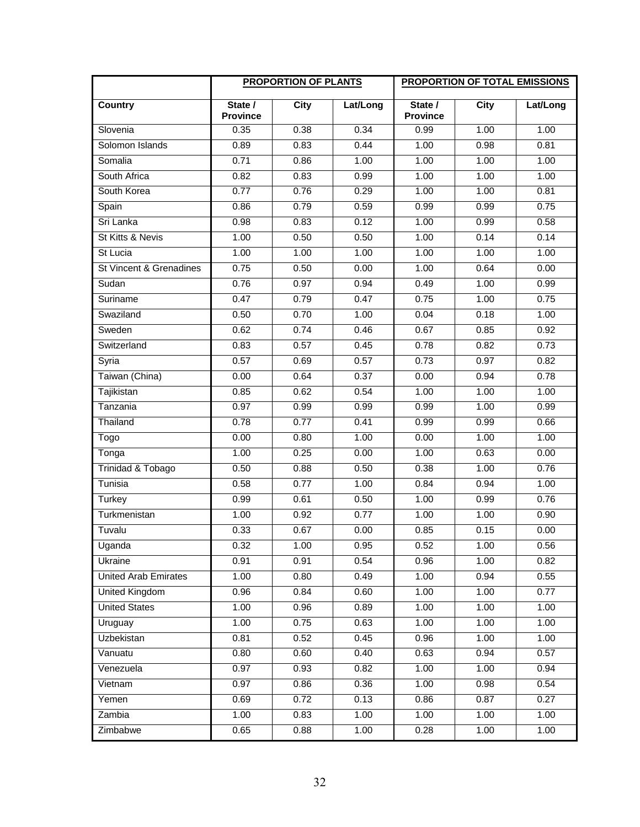|                             | <b>PROPORTION OF PLANTS</b> |             | <b>PROPORTION OF TOTAL EMISSIONS</b> |                            |             |          |
|-----------------------------|-----------------------------|-------------|--------------------------------------|----------------------------|-------------|----------|
| Country                     | State /<br><b>Province</b>  | <b>City</b> | Lat/Long                             | State /<br><b>Province</b> | <b>City</b> | Lat/Long |
| Slovenia                    | 0.35                        | 0.38        | 0.34                                 | 0.99                       | 1.00        | 1.00     |
| Solomon Islands             | 0.89                        | 0.83        | 0.44                                 | 1.00                       | 0.98        | 0.81     |
| Somalia                     | 0.71                        | 0.86        | 1.00                                 | 1.00                       | 1.00        | 1.00     |
| South Africa                | 0.82                        | 0.83        | 0.99                                 | 1.00                       | 1.00        | 1.00     |
| South Korea                 | 0.77                        | 0.76        | 0.29                                 | 1.00                       | 1.00        | 0.81     |
| Spain                       | 0.86                        | 0.79        | 0.59                                 | 0.99                       | 0.99        | 0.75     |
| Sri Lanka                   | 0.98                        | 0.83        | 0.12                                 | 1.00                       | 0.99        | 0.58     |
| St Kitts & Nevis            | 1.00                        | 0.50        | 0.50                                 | 1.00                       | 0.14        | 0.14     |
| St Lucia                    | 1.00                        | 1.00        | 1.00                                 | 1.00                       | 1.00        | 1.00     |
| St Vincent & Grenadines     | 0.75                        | 0.50        | 0.00                                 | 1.00                       | 0.64        | 0.00     |
| Sudan                       | 0.76                        | 0.97        | 0.94                                 | 0.49                       | 1.00        | 0.99     |
| Suriname                    | 0.47                        | 0.79        | 0.47                                 | 0.75                       | 1.00        | 0.75     |
| Swaziland                   | 0.50                        | 0.70        | 1.00                                 | 0.04                       | 0.18        | 1.00     |
| Sweden                      | 0.62                        | 0.74        | 0.46                                 | 0.67                       | 0.85        | 0.92     |
| Switzerland                 | 0.83                        | 0.57        | 0.45                                 | 0.78                       | 0.82        | 0.73     |
| Syria                       | 0.57                        | 0.69        | 0.57                                 | 0.73                       | 0.97        | 0.82     |
| Taiwan (China)              | 0.00                        | 0.64        | 0.37                                 | 0.00                       | 0.94        | 0.78     |
| Tajikistan                  | 0.85                        | 0.62        | 0.54                                 | 1.00                       | 1.00        | 1.00     |
| Tanzania                    | 0.97                        | 0.99        | 0.99                                 | 0.99                       | 1.00        | 0.99     |
| Thailand                    | 0.78                        | 0.77        | 0.41                                 | 0.99                       | 0.99        | 0.66     |
| Togo                        | 0.00                        | 0.80        | 1.00                                 | 0.00                       | 1.00        | 1.00     |
| Tonga                       | 1.00                        | 0.25        | 0.00                                 | 1.00                       | 0.63        | 0.00     |
| Trinidad & Tobago           | 0.50                        | 0.88        | 0.50                                 | 0.38                       | 1.00        | 0.76     |
| Tunisia                     | 0.58                        | 0.77        | 1.00                                 | 0.84                       | 0.94        | 1.00     |
| Turkey                      | 0.99                        | 0.61        | 0.50                                 | 1.00                       | 0.99        | 0.76     |
| Turkmenistan                | 1.00                        | 0.92        | 0.77                                 | 1.00                       | 1.00        | 0.90     |
| Tuvalu                      | 0.33                        | 0.67        | 0.00                                 | 0.85                       | 0.15        | 0.00     |
| Uganda                      | 0.32                        | 1.00        | 0.95                                 | 0.52                       | 1.00        | 0.56     |
| Ukraine                     | 0.91                        | 0.91        | 0.54                                 | 0.96                       | 1.00        | 0.82     |
| <b>United Arab Emirates</b> | 1.00                        | 0.80        | 0.49                                 | 1.00                       | 0.94        | 0.55     |
| United Kingdom              | 0.96                        | 0.84        | 0.60                                 | 1.00                       | 1.00        | 0.77     |
| <b>United States</b>        | 1.00                        | 0.96        | 0.89                                 | 1.00                       | 1.00        | 1.00     |
| Uruguay                     | 1.00                        | 0.75        | 0.63                                 | 1.00                       | 1.00        | 1.00     |
| Uzbekistan                  | 0.81                        | 0.52        | 0.45                                 | 0.96                       | 1.00        | 1.00     |
| Vanuatu                     | 0.80                        | 0.60        | 0.40                                 | 0.63                       | 0.94        | 0.57     |
| Venezuela                   | 0.97                        | 0.93        | 0.82                                 | 1.00                       | 1.00        | 0.94     |
| Vietnam                     | 0.97                        | 0.86        | 0.36                                 | 1.00                       | 0.98        | 0.54     |
| Yemen                       | 0.69                        | 0.72        | 0.13                                 | 0.86                       | 0.87        | 0.27     |
| Zambia                      | 1.00                        | 0.83        | 1.00                                 | 1.00                       | 1.00        | 1.00     |
| Zimbabwe                    | 0.65                        | 0.88        | 1.00                                 | 0.28                       | 1.00        | 1.00     |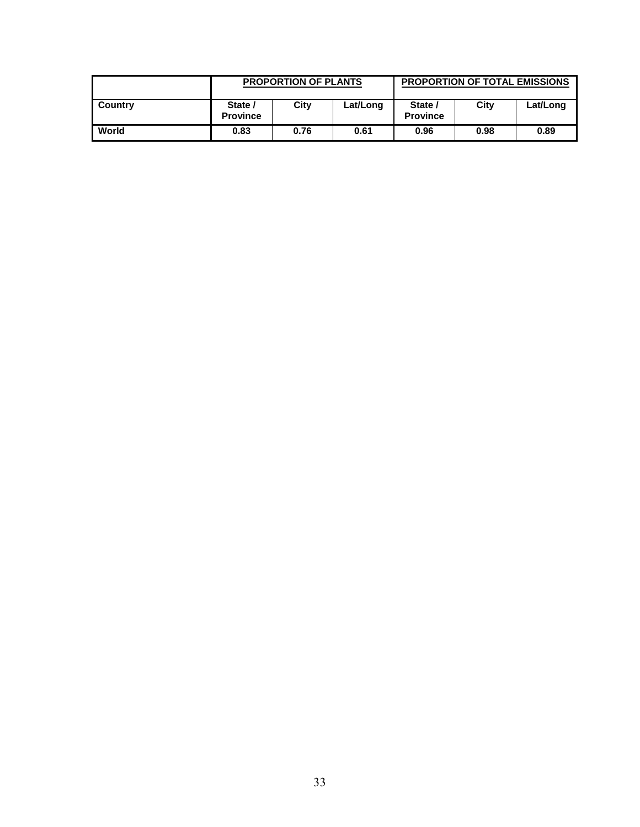|         | <b>PROPORTION OF PLANTS</b> |      |          | <b>PROPORTION OF TOTAL EMISSIONS</b> |      |          |
|---------|-----------------------------|------|----------|--------------------------------------|------|----------|
| Country | State /<br><b>Province</b>  | City | Lat/Long | State /<br><b>Province</b>           | City | Lat/Long |
| World   | 0.83                        | 0.76 | 0.61     | 0.96                                 | 0.98 | 0.89     |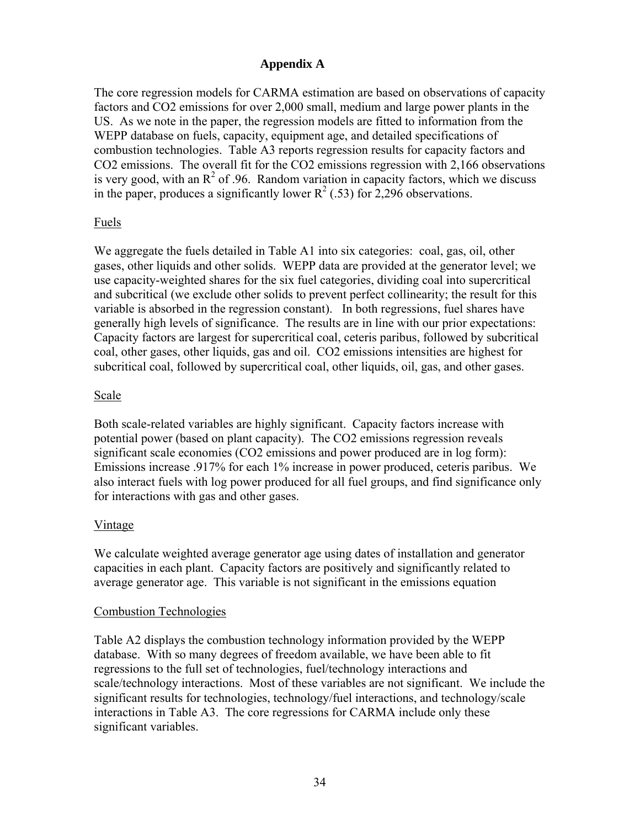## **Appendix A**

The core regression models for CARMA estimation are based on observations of capacity factors and CO2 emissions for over 2,000 small, medium and large power plants in the US. As we note in the paper, the regression models are fitted to information from the WEPP database on fuels, capacity, equipment age, and detailed specifications of combustion technologies. Table A3 reports regression results for capacity factors and CO2 emissions. The overall fit for the CO2 emissions regression with 2,166 observations is very good, with an  $R^2$  of .96. Random variation in capacity factors, which we discuss in the paper, produces a significantly lower  $R^2$  (.53) for 2,296 observations.

## Fuels

We aggregate the fuels detailed in Table A1 into six categories: coal, gas, oil, other gases, other liquids and other solids. WEPP data are provided at the generator level; we use capacity-weighted shares for the six fuel categories, dividing coal into supercritical and subcritical (we exclude other solids to prevent perfect collinearity; the result for this variable is absorbed in the regression constant). In both regressions, fuel shares have generally high levels of significance. The results are in line with our prior expectations: Capacity factors are largest for supercritical coal, ceteris paribus, followed by subcritical coal, other gases, other liquids, gas and oil. CO2 emissions intensities are highest for subcritical coal, followed by supercritical coal, other liquids, oil, gas, and other gases.

## Scale

Both scale-related variables are highly significant. Capacity factors increase with potential power (based on plant capacity). The CO2 emissions regression reveals significant scale economies (CO2 emissions and power produced are in log form): Emissions increase .917% for each 1% increase in power produced, ceteris paribus. We also interact fuels with log power produced for all fuel groups, and find significance only for interactions with gas and other gases.

## Vintage

We calculate weighted average generator age using dates of installation and generator capacities in each plant. Capacity factors are positively and significantly related to average generator age. This variable is not significant in the emissions equation

## Combustion Technologies

Table A2 displays the combustion technology information provided by the WEPP database. With so many degrees of freedom available, we have been able to fit regressions to the full set of technologies, fuel/technology interactions and scale/technology interactions. Most of these variables are not significant. We include the significant results for technologies, technology/fuel interactions, and technology/scale interactions in Table A3. The core regressions for CARMA include only these significant variables.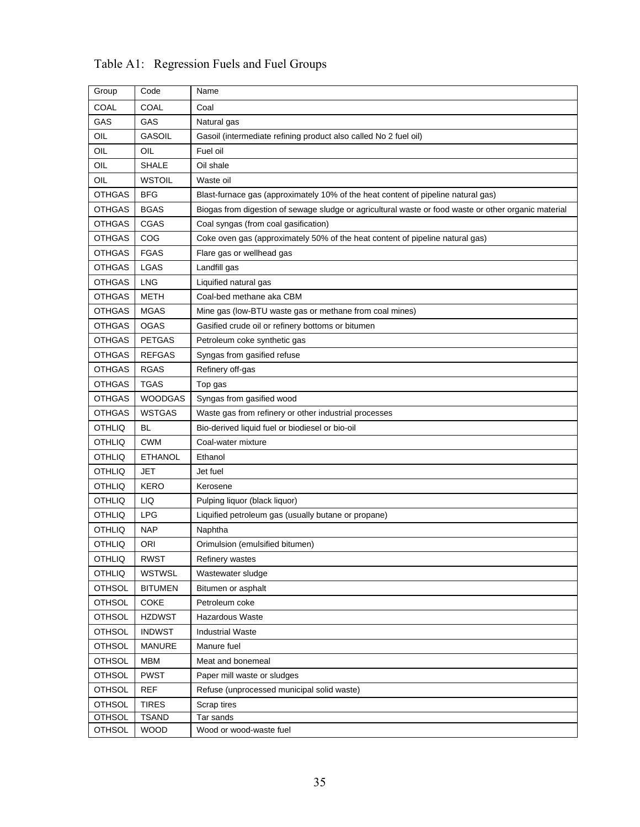| Group         | Code           | Name                                                                                                 |
|---------------|----------------|------------------------------------------------------------------------------------------------------|
| COAL          | COAL           | Coal                                                                                                 |
| GAS           | GAS            | Natural gas                                                                                          |
| OIL           | <b>GASOIL</b>  | Gasoil (intermediate refining product also called No 2 fuel oil)                                     |
| OIL           | OIL            | Fuel oil                                                                                             |
| OIL           | <b>SHALE</b>   | Oil shale                                                                                            |
| OIL           | <b>WSTOIL</b>  | Waste oil                                                                                            |
| <b>OTHGAS</b> | <b>BFG</b>     | Blast-furnace gas (approximately 10% of the heat content of pipeline natural gas)                    |
| OTHGAS        | <b>BGAS</b>    | Biogas from digestion of sewage sludge or agricultural waste or food waste or other organic material |
| <b>OTHGAS</b> | CGAS           | Coal syngas (from coal gasification)                                                                 |
| <b>OTHGAS</b> | COG            | Coke oven gas (approximately 50% of the heat content of pipeline natural gas)                        |
| OTHGAS        | <b>FGAS</b>    | Flare gas or wellhead gas                                                                            |
| <b>OTHGAS</b> | LGAS           | Landfill gas                                                                                         |
| <b>OTHGAS</b> | <b>LNG</b>     | Liquified natural gas                                                                                |
| <b>OTHGAS</b> | METH           | Coal-bed methane aka CBM                                                                             |
| <b>OTHGAS</b> | <b>MGAS</b>    | Mine gas (low-BTU waste gas or methane from coal mines)                                              |
| <b>OTHGAS</b> | <b>OGAS</b>    | Gasified crude oil or refinery bottoms or bitumen                                                    |
| <b>OTHGAS</b> | <b>PETGAS</b>  | Petroleum coke synthetic gas                                                                         |
| <b>OTHGAS</b> | <b>REFGAS</b>  | Syngas from gasified refuse                                                                          |
| <b>OTHGAS</b> | <b>RGAS</b>    | Refinery off-gas                                                                                     |
| <b>OTHGAS</b> | <b>TGAS</b>    | Top gas                                                                                              |
| <b>OTHGAS</b> | <b>WOODGAS</b> | Syngas from gasified wood                                                                            |
| <b>OTHGAS</b> | <b>WSTGAS</b>  | Waste gas from refinery or other industrial processes                                                |
| <b>OTHLIQ</b> | BL             | Bio-derived liquid fuel or biodiesel or bio-oil                                                      |
| <b>OTHLIQ</b> | <b>CWM</b>     | Coal-water mixture                                                                                   |
| <b>OTHLIQ</b> | <b>ETHANOL</b> | Ethanol                                                                                              |
| <b>OTHLIQ</b> | JET            | Jet fuel                                                                                             |
| <b>OTHLIQ</b> | <b>KERO</b>    | Kerosene                                                                                             |
| <b>OTHLIQ</b> | LIQ            | Pulping liquor (black liquor)                                                                        |
| <b>OTHLIQ</b> | <b>LPG</b>     | Liquified petroleum gas (usually butane or propane)                                                  |
| <b>OTHLIQ</b> | <b>NAP</b>     | Naphtha                                                                                              |
| OTHLIQ        | ORI            | Orimulsion (emulsified bitumen)                                                                      |
| <b>OTHLIQ</b> | <b>RWST</b>    | Refinery wastes                                                                                      |
| <b>OTHLIQ</b> | <b>WSTWSL</b>  | Wastewater sludge                                                                                    |
| <b>OTHSOL</b> | <b>BITUMEN</b> | Bitumen or asphalt                                                                                   |
| <b>OTHSOL</b> | COKE           | Petroleum coke                                                                                       |
| <b>OTHSOL</b> | <b>HZDWST</b>  | Hazardous Waste                                                                                      |
| <b>OTHSOL</b> | <b>INDWST</b>  | <b>Industrial Waste</b>                                                                              |
| <b>OTHSOL</b> | <b>MANURE</b>  | Manure fuel                                                                                          |
| <b>OTHSOL</b> | <b>MBM</b>     | Meat and bonemeal                                                                                    |
| <b>OTHSOL</b> | <b>PWST</b>    | Paper mill waste or sludges                                                                          |
| <b>OTHSOL</b> | <b>REF</b>     | Refuse (unprocessed municipal solid waste)                                                           |
| <b>OTHSOL</b> | <b>TIRES</b>   | Scrap tires                                                                                          |
| <b>OTHSOL</b> | <b>TSAND</b>   | Tar sands                                                                                            |
| <b>OTHSOL</b> | <b>WOOD</b>    | Wood or wood-waste fuel                                                                              |

Table A1: Regression Fuels and Fuel Groups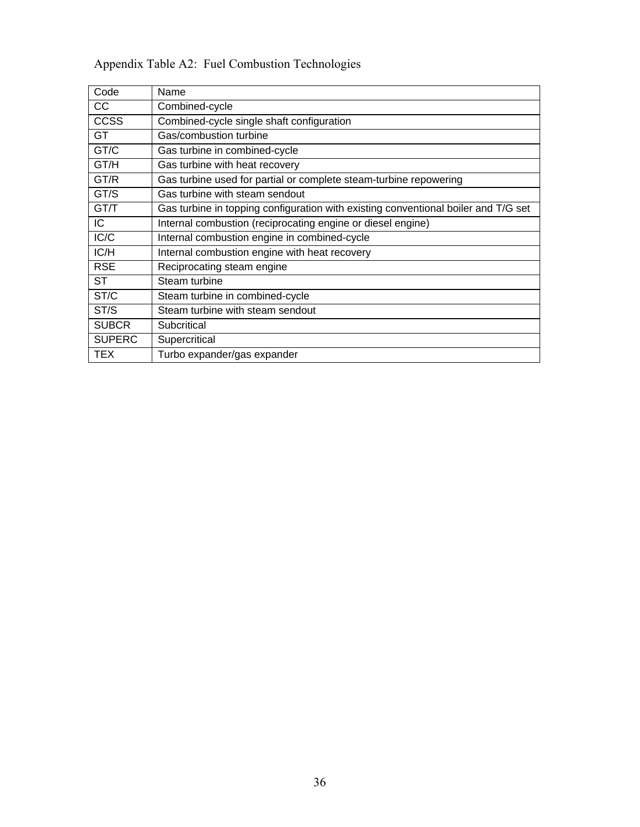| Code          | Name                                                                               |
|---------------|------------------------------------------------------------------------------------|
| cc            | Combined-cycle                                                                     |
| <b>CCSS</b>   | Combined-cycle single shaft configuration                                          |
| GT            | Gas/combustion turbine                                                             |
| GT/C          | Gas turbine in combined-cycle                                                      |
| GT/H          | Gas turbine with heat recovery                                                     |
| GT/R          | Gas turbine used for partial or complete steam-turbine repowering                  |
| GT/S          | Gas turbine with steam sendout                                                     |
| GT/T          | Gas turbine in topping configuration with existing conventional boiler and T/G set |
| IC.           | Internal combustion (reciprocating engine or diesel engine)                        |
| IC/C          | Internal combustion engine in combined-cycle                                       |
| IC/H          | Internal combustion engine with heat recovery                                      |
| <b>RSE</b>    | Reciprocating steam engine                                                         |
| <b>ST</b>     | Steam turbine                                                                      |
| ST/C          | Steam turbine in combined-cycle                                                    |
| ST/S          | Steam turbine with steam sendout                                                   |
| <b>SUBCR</b>  | Subcritical                                                                        |
| <b>SUPERC</b> | Supercritical                                                                      |
| TEX           | Turbo expander/gas expander                                                        |

# Appendix Table A2: Fuel Combustion Technologies